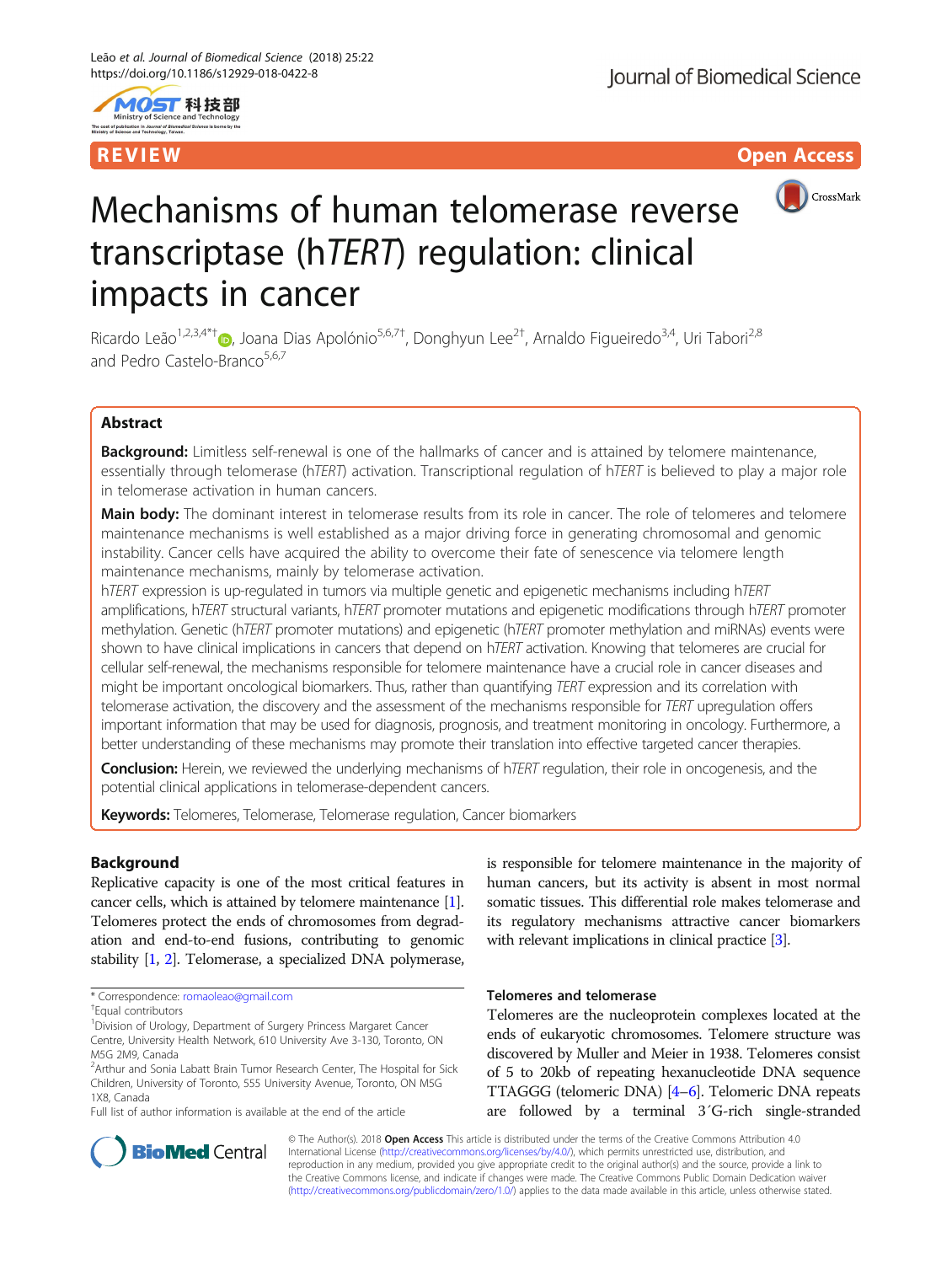

R EVI EW Open Access and the contract of the contract of the contract of the contract of the contract of the c



# Mechanisms of human telomerase reverse transcriptase (hTERT) regulation: clinical impacts in cancer

Ricardo Leão<sup>1,2,3,4\*[†](http://orcid.org/0000-0003-3719-717X)</sup>®, Joana Dias Apolónio<sup>5,6,7†</sup>, Donghyun Lee<sup>2†</sup>, Arnaldo Figueiredo<sup>3,4</sup>, Uri Tabori<sup>2,8</sup> and Pedro Castelo-Branco<sup>5,6,7</sup>

### Abstract

Background: Limitless self-renewal is one of the hallmarks of cancer and is attained by telomere maintenance, essentially through telomerase (hTERT) activation. Transcriptional regulation of hTERT is believed to play a major role in telomerase activation in human cancers.

Main body: The dominant interest in telomerase results from its role in cancer. The role of telomeres and telomere maintenance mechanisms is well established as a major driving force in generating chromosomal and genomic instability. Cancer cells have acquired the ability to overcome their fate of senescence via telomere length maintenance mechanisms, mainly by telomerase activation.

hTERT expression is up-regulated in tumors via multiple genetic and epigenetic mechanisms including hTERT amplifications, hTERT structural variants, hTERT promoter mutations and epigenetic modifications through hTERT promoter methylation. Genetic (hTERT promoter mutations) and epigenetic (hTERT promoter methylation and miRNAs) events were shown to have clinical implications in cancers that depend on hTERT activation. Knowing that telomeres are crucial for cellular self-renewal, the mechanisms responsible for telomere maintenance have a crucial role in cancer diseases and might be important oncological biomarkers. Thus, rather than quantifying TERT expression and its correlation with telomerase activation, the discovery and the assessment of the mechanisms responsible for TERT upregulation offers important information that may be used for diagnosis, prognosis, and treatment monitoring in oncology. Furthermore, a better understanding of these mechanisms may promote their translation into effective targeted cancer therapies.

Conclusion: Herein, we reviewed the underlying mechanisms of hTERT regulation, their role in oncogenesis, and the potential clinical applications in telomerase-dependent cancers.

Keywords: Telomeres, Telomerase, Telomerase regulation, Cancer biomarkers

### Background

Replicative capacity is one of the most critical features in cancer cells, which is attained by telomere maintenance [[1](#page-8-0)]. Telomeres protect the ends of chromosomes from degradation and end-to-end fusions, contributing to genomic stability [\[1,](#page-8-0) [2\]](#page-8-0). Telomerase, a specialized DNA polymerase,

Full list of author information is available at the end of the article

is responsible for telomere maintenance in the majority of human cancers, but its activity is absent in most normal somatic tissues. This differential role makes telomerase and its regulatory mechanisms attractive cancer biomarkers with relevant implications in clinical practice [\[3\]](#page-8-0).

#### Telomeres and telomerase

Telomeres are the nucleoprotein complexes located at the ends of eukaryotic chromosomes. Telomere structure was discovered by Muller and Meier in 1938. Telomeres consist of 5 to 20kb of repeating hexanucleotide DNA sequence TTAGGG (telomeric DNA) [\[4](#page-8-0)–[6\]](#page-8-0). Telomeric DNA repeats are followed by a terminal 3´G-rich single-stranded



© The Author(s). 2018 Open Access This article is distributed under the terms of the Creative Commons Attribution 4.0 International License [\(http://creativecommons.org/licenses/by/4.0/](http://creativecommons.org/licenses/by/4.0/)), which permits unrestricted use, distribution, and reproduction in any medium, provided you give appropriate credit to the original author(s) and the source, provide a link to the Creative Commons license, and indicate if changes were made. The Creative Commons Public Domain Dedication waiver [\(http://creativecommons.org/publicdomain/zero/1.0/](http://creativecommons.org/publicdomain/zero/1.0/)) applies to the data made available in this article, unless otherwise stated.

<sup>\*</sup> Correspondence: [romaoleao@gmail.com](mailto:romaoleao@gmail.com) †

<sup>&</sup>lt;sup>†</sup>Faual contributors

<sup>&</sup>lt;sup>1</sup> Division of Urology, Department of Surgery Princess Margaret Cancer Centre, University Health Network, 610 University Ave 3-130, Toronto, ON M5G 2M9, Canada

<sup>&</sup>lt;sup>2</sup> Arthur and Sonia Labatt Brain Tumor Research Center, The Hospital for Sick Children, University of Toronto, 555 University Avenue, Toronto, ON M5G 1X8, Canada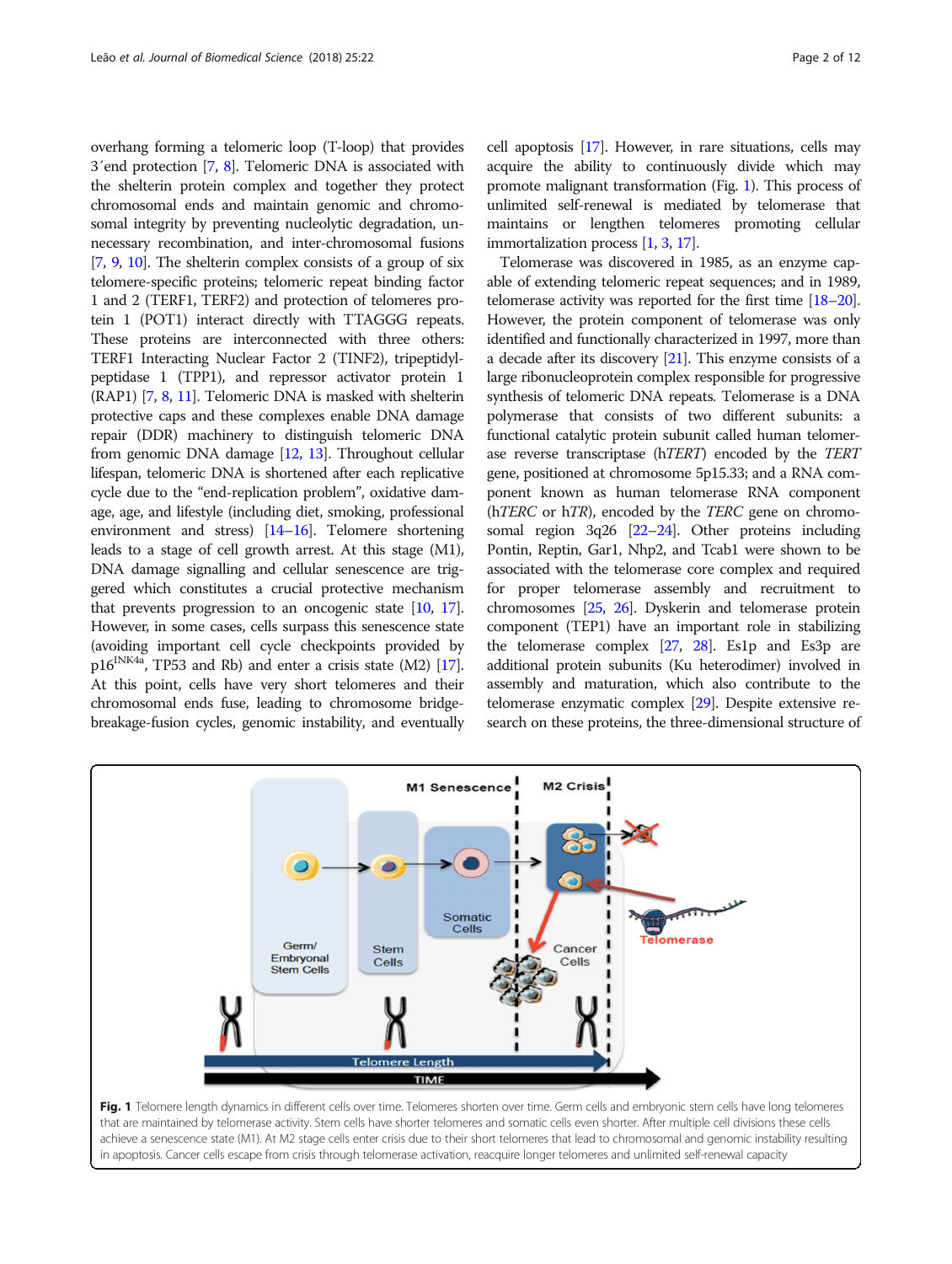<span id="page-1-0"></span>overhang forming a telomeric loop (T-loop) that provides 3´end protection [[7](#page-8-0), [8\]](#page-8-0). Telomeric DNA is associated with the shelterin protein complex and together they protect chromosomal ends and maintain genomic and chromosomal integrity by preventing nucleolytic degradation, unnecessary recombination, and inter-chromosomal fusions [[7](#page-8-0), [9](#page-8-0), [10](#page-8-0)]. The shelterin complex consists of a group of six telomere-specific proteins; telomeric repeat binding factor 1 and 2 (TERF1, TERF2) and protection of telomeres protein 1 (POT1) interact directly with TTAGGG repeats. These proteins are interconnected with three others: TERF1 Interacting Nuclear Factor 2 (TINF2), tripeptidylpeptidase 1 (TPP1), and repressor activator protein 1 (RAP1) [[7](#page-8-0), [8,](#page-8-0) [11](#page-8-0)]. Telomeric DNA is masked with shelterin protective caps and these complexes enable DNA damage repair (DDR) machinery to distinguish telomeric DNA from genomic DNA damage [[12](#page-8-0), [13](#page-8-0)]. Throughout cellular lifespan, telomeric DNA is shortened after each replicative cycle due to the "end-replication problem", oxidative damage, age, and lifestyle (including diet, smoking, professional environment and stress) [\[14](#page-8-0)–[16\]](#page-8-0). Telomere shortening leads to a stage of cell growth arrest. At this stage (M1), DNA damage signalling and cellular senescence are triggered which constitutes a crucial protective mechanism that prevents progression to an oncogenic state  $[10, 17]$  $[10, 17]$  $[10, 17]$  $[10, 17]$ . However, in some cases, cells surpass this senescence state (avoiding important cell cycle checkpoints provided by  $p16^{INK4a}$ , TP53 and Rb) and enter a crisis state (M2) [\[17](#page-8-0)]. At this point, cells have very short telomeres and their chromosomal ends fuse, leading to chromosome bridgebreakage-fusion cycles, genomic instability, and eventually cell apoptosis [\[17\]](#page-8-0). However, in rare situations, cells may acquire the ability to continuously divide which may promote malignant transformation (Fig. 1). This process of unlimited self-renewal is mediated by telomerase that maintains or lengthen telomeres promoting cellular immortalization process [[1](#page-8-0), [3,](#page-8-0) [17\]](#page-8-0).

Telomerase was discovered in 1985, as an enzyme capable of extending telomeric repeat sequences; and in 1989, telomerase activity was reported for the first time [[18](#page-8-0)–[20](#page-8-0)]. However, the protein component of telomerase was only identified and functionally characterized in 1997, more than a decade after its discovery [\[21](#page-8-0)]. This enzyme consists of a large ribonucleoprotein complex responsible for progressive synthesis of telomeric DNA repeats. Telomerase is a DNA polymerase that consists of two different subunits: a functional catalytic protein subunit called human telomerase reverse transcriptase (hTERT) encoded by the TERT gene, positioned at chromosome 5p15.33; and a RNA component known as human telomerase RNA component (hTERC or hTR), encoded by the TERC gene on chromosomal region 3q26 [\[22](#page-8-0)–[24\]](#page-8-0). Other proteins including Pontin, Reptin, Gar1, Nhp2, and Tcab1 were shown to be associated with the telomerase core complex and required for proper telomerase assembly and recruitment to chromosomes [[25](#page-8-0), [26\]](#page-8-0). Dyskerin and telomerase protein component (TEP1) have an important role in stabilizing the telomerase complex [[27](#page-8-0), [28](#page-9-0)]. Es1p and Es3p are additional protein subunits (Ku heterodimer) involved in assembly and maturation, which also contribute to the telomerase enzymatic complex [\[29\]](#page-9-0). Despite extensive research on these proteins, the three-dimensional structure of



that are maintained by telomerase activity. Stem cells have shorter telomeres and somatic cells even shorter. After multiple cell divisions these cells achieve a senescence state (M1). At M2 stage cells enter crisis due to their short telomeres that lead to chromosomal and genomic instability resulting in apoptosis. Cancer cells escape from crisis through telomerase activation, reacquire longer telomeres and unlimited self-renewal capacity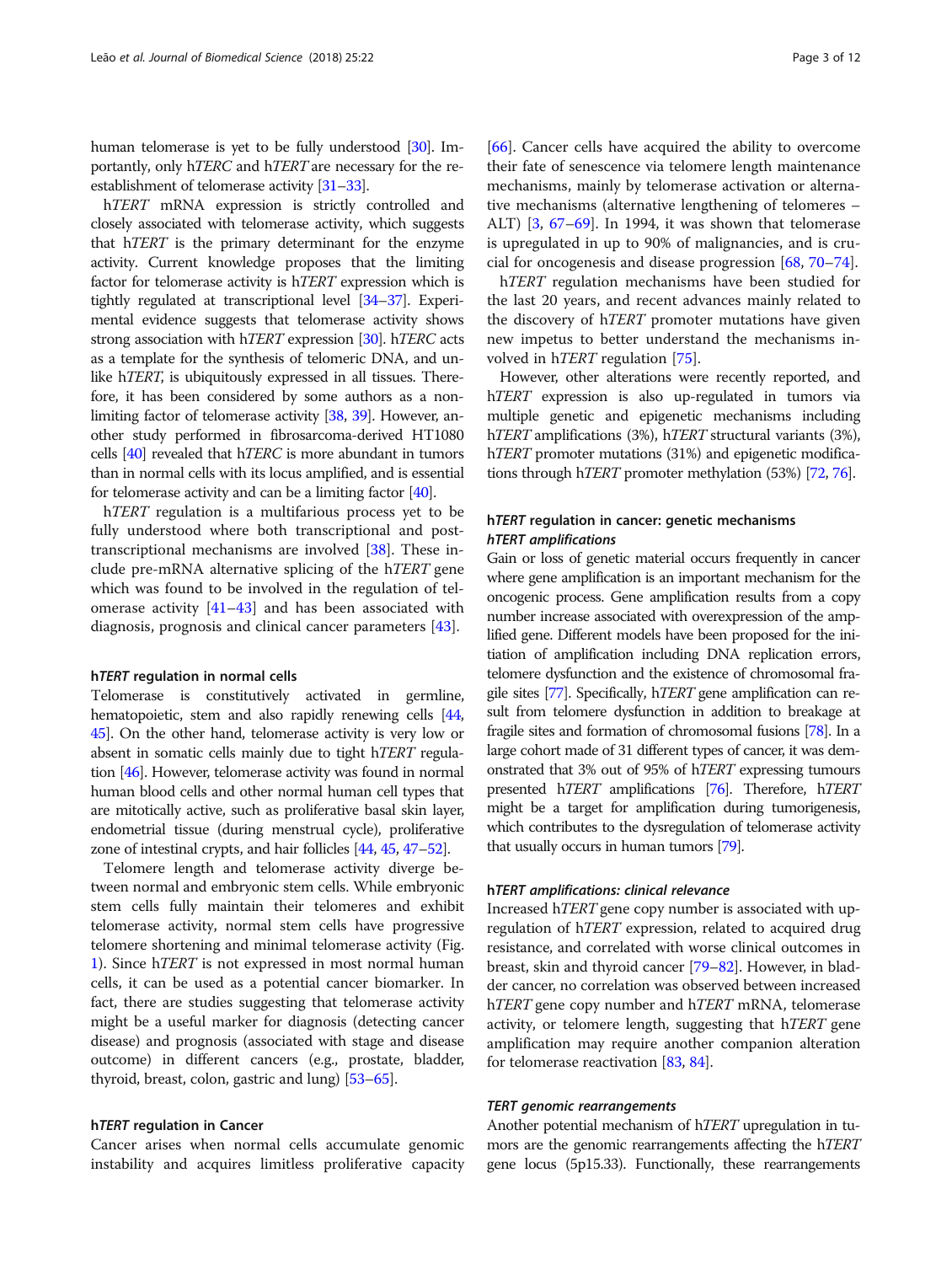human telomerase is yet to be fully understood [\[30\]](#page-9-0). Importantly, only hTERC and hTERT are necessary for the reestablishment of telomerase activity [[31](#page-9-0)–[33](#page-9-0)].

h*TERT* mRNA expression is strictly controlled and closely associated with telomerase activity, which suggests that hTERT is the primary determinant for the enzyme activity. Current knowledge proposes that the limiting factor for telomerase activity is hTERT expression which is tightly regulated at transcriptional level [\[34](#page-9-0)–[37\]](#page-9-0). Experimental evidence suggests that telomerase activity shows strong association with hTERT expression [\[30\]](#page-9-0). hTERC acts as a template for the synthesis of telomeric DNA, and unlike h*TERT*, is ubiquitously expressed in all tissues. Therefore, it has been considered by some authors as a nonlimiting factor of telomerase activity [[38](#page-9-0), [39\]](#page-9-0). However, another study performed in fibrosarcoma-derived HT1080 cells [\[40\]](#page-9-0) revealed that hTERC is more abundant in tumors than in normal cells with its locus amplified, and is essential for telomerase activity and can be a limiting factor [[40](#page-9-0)].

h*TERT* regulation is a multifarious process yet to be fully understood where both transcriptional and posttranscriptional mechanisms are involved [[38\]](#page-9-0). These include pre-mRNA alternative splicing of the hTERT gene which was found to be involved in the regulation of telomerase activity  $[41-43]$  $[41-43]$  $[41-43]$  and has been associated with diagnosis, prognosis and clinical cancer parameters [[43](#page-9-0)].

#### <sup>h</sup>TERT regulation in normal cells

Telomerase is constitutively activated in germline, hematopoietic, stem and also rapidly renewing cells [\[44](#page-9-0), [45](#page-9-0)]. On the other hand, telomerase activity is very low or absent in somatic cells mainly due to tight hTERT regulation [[46](#page-9-0)]. However, telomerase activity was found in normal human blood cells and other normal human cell types that are mitotically active, such as proliferative basal skin layer, endometrial tissue (during menstrual cycle), proliferative zone of intestinal crypts, and hair follicles [\[44,](#page-9-0) [45,](#page-9-0) [47](#page-9-0)–[52\]](#page-9-0).

Telomere length and telomerase activity diverge between normal and embryonic stem cells. While embryonic stem cells fully maintain their telomeres and exhibit telomerase activity, normal stem cells have progressive telomere shortening and minimal telomerase activity (Fig. [1\)](#page-1-0). Since hTERT is not expressed in most normal human cells, it can be used as a potential cancer biomarker. In fact, there are studies suggesting that telomerase activity might be a useful marker for diagnosis (detecting cancer disease) and prognosis (associated with stage and disease outcome) in different cancers (e.g., prostate, bladder, thyroid, breast, colon, gastric and lung) [[53](#page-9-0)–[65\]](#page-9-0).

#### <sup>h</sup>TERT regulation in Cancer

Cancer arises when normal cells accumulate genomic instability and acquires limitless proliferative capacity [[66\]](#page-9-0). Cancer cells have acquired the ability to overcome their fate of senescence via telomere length maintenance mechanisms, mainly by telomerase activation or alternative mechanisms (alternative lengthening of telomeres – ALT) [\[3,](#page-8-0) [67](#page-9-0)–[69](#page-9-0)]. In 1994, it was shown that telomerase is upregulated in up to 90% of malignancies, and is crucial for oncogenesis and disease progression [\[68](#page-9-0), [70](#page-9-0)–[74\]](#page-9-0).

hTERT regulation mechanisms have been studied for the last 20 years, and recent advances mainly related to the discovery of hTERT promoter mutations have given new impetus to better understand the mechanisms involved in hTERT regulation [[75](#page-9-0)].

However, other alterations were recently reported, and hTERT expression is also up-regulated in tumors via multiple genetic and epigenetic mechanisms including hTERT amplifications (3%), hTERT structural variants (3%), h*TERT* promoter mutations (31%) and epigenetic modifications through hTERT promoter methylation (53%) [\[72](#page-9-0), [76](#page-9-0)].

## hTERT regulation in cancer: genetic mechanisms<br>hTERT amplifications

Gain or loss of genetic material occurs frequently in cancer where gene amplification is an important mechanism for the oncogenic process. Gene amplification results from a copy number increase associated with overexpression of the amplified gene. Different models have been proposed for the initiation of amplification including DNA replication errors, telomere dysfunction and the existence of chromosomal fragile sites [\[77\]](#page-9-0). Specifically, hTERT gene amplification can result from telomere dysfunction in addition to breakage at fragile sites and formation of chromosomal fusions [\[78\]](#page-9-0). In a large cohort made of 31 different types of cancer, it was demonstrated that 3% out of 95% of hTERT expressing tumours presented hTERT amplifications [\[76](#page-9-0)]. Therefore, hTERT might be a target for amplification during tumorigenesis, which contributes to the dysregulation of telomerase activity that usually occurs in human tumors [[79\]](#page-9-0).

#### <sup>h</sup>TERT amplifications: clinical relevance

Increased hTERT gene copy number is associated with upregulation of hTERT expression, related to acquired drug resistance, and correlated with worse clinical outcomes in breast, skin and thyroid cancer [\[79](#page-9-0)–[82](#page-9-0)]. However, in bladder cancer, no correlation was observed between increased h*TERT* gene copy number and h*TERT* mRNA, telomerase activity, or telomere length, suggesting that hTERT gene amplification may require another companion alteration for telomerase reactivation [\[83,](#page-10-0) [84](#page-10-0)].

Another potential mechanism of hTERT upregulation in tumors are the genomic rearrangements affecting the hTERT gene locus (5p15.33). Functionally, these rearrangements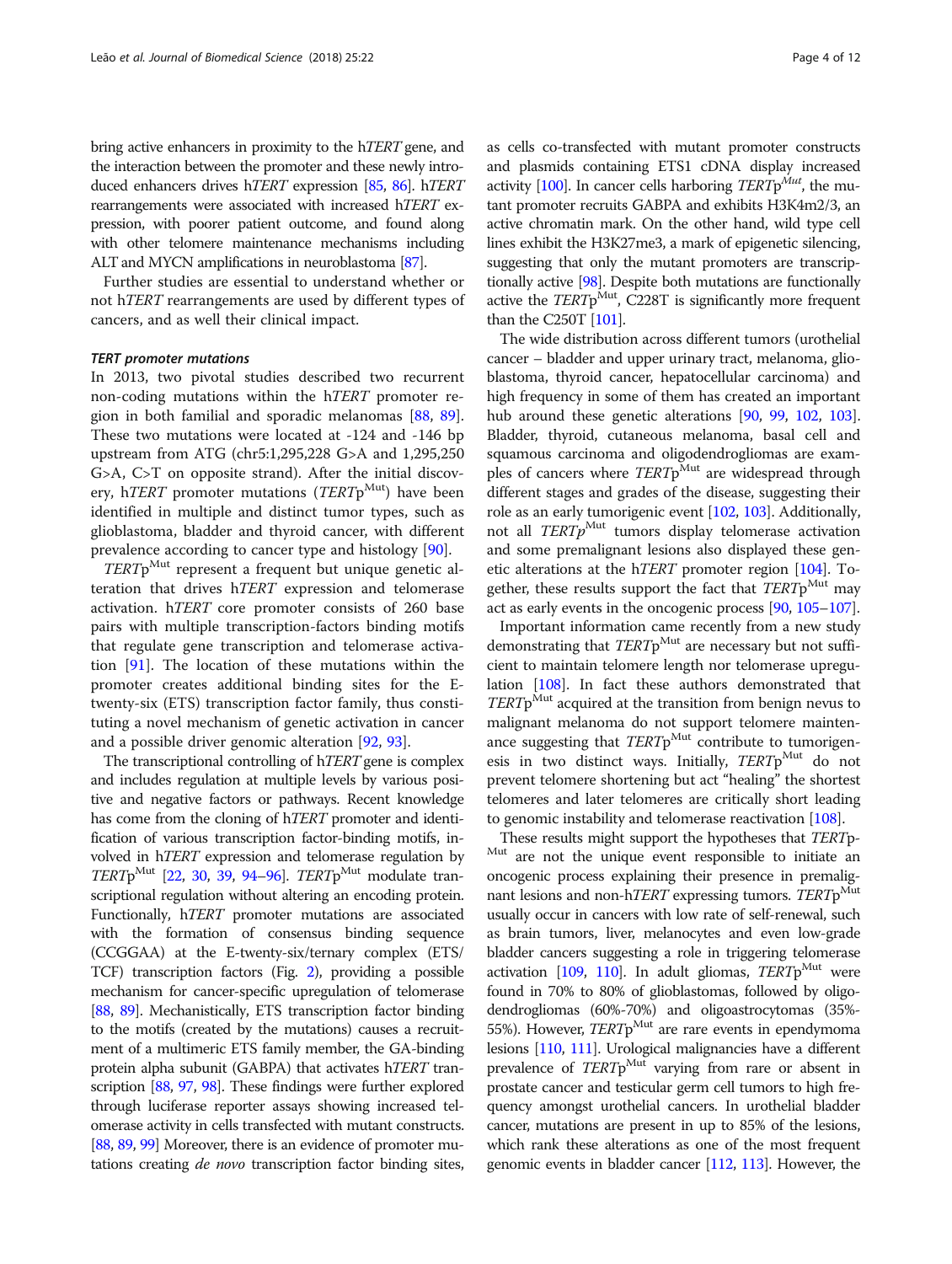bring active enhancers in proximity to the hTERT gene, and the interaction between the promoter and these newly introduced enhancers drives hTERT expression [[85,](#page-10-0) [86\]](#page-10-0). hTERT rearrangements were associated with increased hTERT expression, with poorer patient outcome, and found along with other telomere maintenance mechanisms including ALT and MYCN amplifications in neuroblastoma [\[87](#page-10-0)].

Further studies are essential to understand whether or not hTERT rearrangements are used by different types of cancers, and as well their clinical impact.

In 2013, two pivotal studies described two recurrent non-coding mutations within the hTERT promoter region in both familial and sporadic melanomas [\[88](#page-10-0), [89](#page-10-0)]. These two mutations were located at -124 and -146 bp upstream from ATG (chr5:1,295,228 G>A and 1,295,250 G>A, C>T on opposite strand). After the initial discovery, h*TERT* promoter mutations (*TERT* $p^{Mut}$ ) have been identified in multiple and distinct tumor types, such as glioblastoma, bladder and thyroid cancer, with different prevalence according to cancer type and histology [[90\]](#page-10-0).

 $TERTp^{\text{Mut}}$  represent a frequent but unique genetic alteration that drives hTERT expression and telomerase activation. hTERT core promoter consists of 260 base pairs with multiple transcription-factors binding motifs that regulate gene transcription and telomerase activation [\[91](#page-10-0)]. The location of these mutations within the promoter creates additional binding sites for the Etwenty-six (ETS) transcription factor family, thus constituting a novel mechanism of genetic activation in cancer and a possible driver genomic alteration [\[92,](#page-10-0) [93\]](#page-10-0).

The transcriptional controlling of hTERT gene is complex and includes regulation at multiple levels by various positive and negative factors or pathways. Recent knowledge has come from the cloning of hTERT promoter and identification of various transcription factor-binding motifs, involved in hTERT expression and telomerase regulation by TERTp<sup>Mut</sup> [\[22,](#page-8-0) [30](#page-9-0), [39](#page-9-0), [94](#page-10-0)–[96](#page-10-0)]. TERTp<sup>Mut</sup> modulate transcriptional regulation without altering an encoding protein. Functionally, hTERT promoter mutations are associated with the formation of consensus binding sequence (CCGGAA) at the E-twenty-six/ternary complex (ETS/ TCF) transcription factors (Fig. [2\)](#page-4-0), providing a possible mechanism for cancer-specific upregulation of telomerase [[88](#page-10-0), [89](#page-10-0)]. Mechanistically, ETS transcription factor binding to the motifs (created by the mutations) causes a recruitment of a multimeric ETS family member, the GA-binding protein alpha subunit (GABPA) that activates hTERT transcription [\[88](#page-10-0), [97](#page-10-0), [98\]](#page-10-0). These findings were further explored through luciferase reporter assays showing increased telomerase activity in cells transfected with mutant constructs. [[88](#page-10-0), [89](#page-10-0), [99](#page-10-0)] Moreover, there is an evidence of promoter mutations creating *de novo* transcription factor binding sites,

as cells co-transfected with mutant promoter constructs and plasmids containing ETS1 cDNA display increased activity [\[100](#page-10-0)]. In cancer cells harboring  $TERTp^{Mut}$ , the mutant promoter recruits GABPA and exhibits H3K4m2/3, an active chromatin mark. On the other hand, wild type cell lines exhibit the H3K27me3, a mark of epigenetic silencing, suggesting that only the mutant promoters are transcriptionally active [[98](#page-10-0)]. Despite both mutations are functionally active the  $TERTp^{\text{Mut}}$ , C228T is significantly more frequent than the C250T [\[101\]](#page-10-0).

The wide distribution across different tumors (urothelial cancer – bladder and upper urinary tract, melanoma, glioblastoma, thyroid cancer, hepatocellular carcinoma) and high frequency in some of them has created an important hub around these genetic alterations [\[90,](#page-10-0) [99](#page-10-0), [102](#page-10-0), [103](#page-10-0)]. Bladder, thyroid, cutaneous melanoma, basal cell and squamous carcinoma and oligodendrogliomas are examples of cancers where  $TERTp^{\text{Mut}}$  are widespread through different stages and grades of the disease, suggesting their role as an early tumorigenic event [\[102](#page-10-0), [103\]](#page-10-0). Additionally, not all  $TERTp^{\text{Mut}}$  tumors display telomerase activation and some premalignant lesions also displayed these genetic alterations at the hTERT promoter region [\[104\]](#page-10-0). Together, these results support the fact that TERTp<sup>Mut</sup> may act as early events in the oncogenic process [\[90,](#page-10-0) [105](#page-10-0)–[107](#page-10-0)].

Important information came recently from a new study demonstrating that  $TERTp<sup>Mut</sup>$  are necessary but not sufficient to maintain telomere length nor telomerase upregulation [[108](#page-10-0)]. In fact these authors demonstrated that  $TERTp<sup>Mut</sup>$  acquired at the transition from benign nevus to malignant melanoma do not support telomere maintenance suggesting that  $TERTp^{\text{Mut}}$  contribute to tumorigenesis in two distinct ways. Initially, TERTpMut do not prevent telomere shortening but act "healing" the shortest telomeres and later telomeres are critically short leading to genomic instability and telomerase reactivation [\[108\]](#page-10-0).

These results might support the hypotheses that *TERT*<sup>p-Mut</sup> are not the unique event responsible to initiate an oncogenic process explaining their presence in premalignant lesions and non-hTERT expressing tumors. TERT $p<sup>Mut</sup>$ usually occur in cancers with low rate of self-renewal, such as brain tumors, liver, melanocytes and even low-grade bladder cancers suggesting a role in triggering telomerase activation [\[109](#page-10-0), [110\]](#page-10-0). In adult gliomas,  $TERTp<sup>Mut</sup>$  were found in 70% to 80% of glioblastomas, followed by oligodendrogliomas (60%-70%) and oligoastrocytomas (35%- 55%). However,  $TERTp^{\text{Mut}}$  are rare events in ependymoma lesions [\[110](#page-10-0), [111\]](#page-10-0). Urological malignancies have a different prevalence of TERTp<sup>Mut</sup> varying from rare or absent in prostate cancer and testicular germ cell tumors to high frequency amongst urothelial cancers. In urothelial bladder cancer, mutations are present in up to 85% of the lesions, which rank these alterations as one of the most frequent genomic events in bladder cancer [[112,](#page-10-0) [113](#page-10-0)]. However, the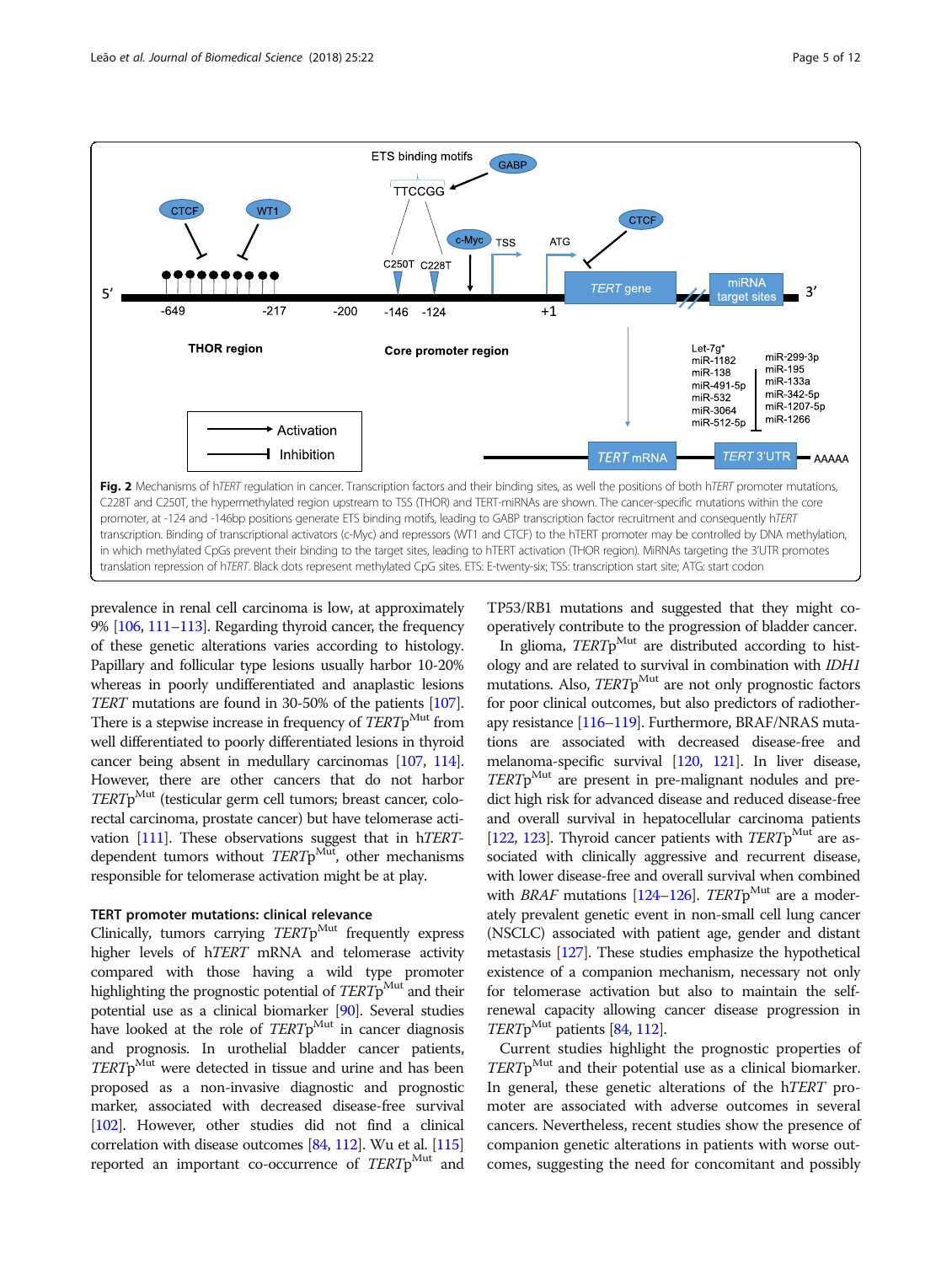<span id="page-4-0"></span>

prevalence in renal cell carcinoma is low, at approximately 9% [[106,](#page-10-0) [111](#page-10-0)–[113\]](#page-10-0). Regarding thyroid cancer, the frequency of these genetic alterations varies according to histology. Papillary and follicular type lesions usually harbor 10-20% whereas in poorly undifferentiated and anaplastic lesions TERT mutations are found in 30-50% of the patients [\[107](#page-10-0)]. There is a stepwise increase in frequency of TERTp<sup>Mut</sup> from well differentiated to poorly differentiated lesions in thyroid cancer being absent in medullary carcinomas [[107,](#page-10-0) [114](#page-10-0)]. However, there are other cancers that do not harbor  $TERTp<sup>Mut</sup>$  (testicular germ cell tumors; breast cancer, colorectal carcinoma, prostate cancer) but have telomerase activation [\[111\]](#page-10-0). These observations suggest that in hTERTdependent tumors without  $TERTp^{\text{Mut}}$ , other mechanisms responsible for telomerase activation might be at play.

#### TERT promoter mutations: clinical relevance

Clinically, tumors carrying  $TERTp$ <sup>Mut</sup> frequently express higher levels of hTERT mRNA and telomerase activity compared with those having a wild type promoter highlighting the prognostic potential of  $TERTp<sup>Mut</sup>$  and their potential use as a clinical biomarker [[90](#page-10-0)]. Several studies have looked at the role of  $TERTp<sup>Mut</sup>$  in cancer diagnosis and prognosis. In urothelial bladder cancer patients,  $TERTp$ <sup>Mut</sup> were detected in tissue and urine and has been proposed as a non-invasive diagnostic and prognostic marker, associated with decreased disease-free survival [[102\]](#page-10-0). However, other studies did not find a clinical correlation with disease outcomes [\[84,](#page-10-0) [112\]](#page-10-0). Wu et al. [\[115](#page-10-0)] reported an important co-occurrence of  $TERTp^{\text{Mut}}$  and TP53/RB1 mutations and suggested that they might cooperatively contribute to the progression of bladder cancer.

In glioma,  $TERTp^{\text{Mut}}$  are distributed according to histology and are related to survival in combination with IDH1 mutations. Also,  $TERTp^{\text{Mut}}$  are not only prognostic factors for poor clinical outcomes, but also predictors of radiotherapy resistance [\[116](#page-10-0)–[119](#page-10-0)]. Furthermore, BRAF/NRAS mutations are associated with decreased disease-free and melanoma-specific survival [[120,](#page-10-0) [121](#page-10-0)]. In liver disease,  $TERT<sub>p</sub><sup>Mut</sup>$  are present in pre-malignant nodules and predict high risk for advanced disease and reduced disease-free and overall survival in hepatocellular carcinoma patients [[122,](#page-10-0) [123](#page-10-0)]. Thyroid cancer patients with  $TERTp^{\text{Mut}}$  are associated with clinically aggressive and recurrent disease, with lower disease-free and overall survival when combined with *BRAF* mutations [[124](#page-10-0)–[126\]](#page-10-0). TERTp<sup>Mut</sup> are a moderately prevalent genetic event in non-small cell lung cancer (NSCLC) associated with patient age, gender and distant metastasis [\[127](#page-10-0)]. These studies emphasize the hypothetical existence of a companion mechanism, necessary not only for telomerase activation but also to maintain the selfrenewal capacity allowing cancer disease progression in  $TERTp^{\text{Mut}}$  patients [\[84,](#page-10-0) [112](#page-10-0)].

Current studies highlight the prognostic properties of  $TERTp^{\text{Mut}}$  and their potential use as a clinical biomarker. In general, these genetic alterations of the hTERT promoter are associated with adverse outcomes in several cancers. Nevertheless, recent studies show the presence of companion genetic alterations in patients with worse outcomes, suggesting the need for concomitant and possibly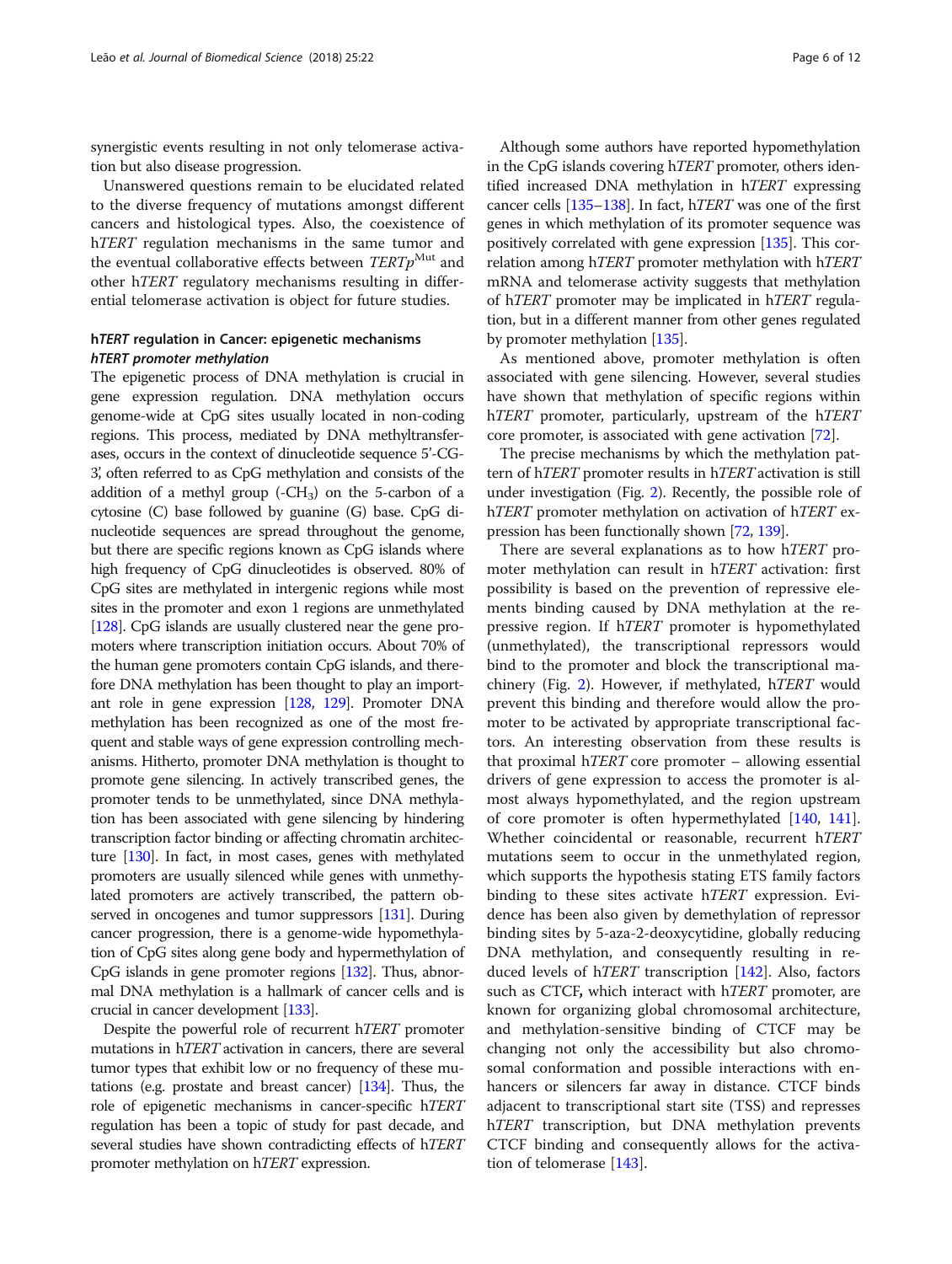synergistic events resulting in not only telomerase activation but also disease progression.

Unanswered questions remain to be elucidated related to the diverse frequency of mutations amongst different cancers and histological types. Also, the coexistence of h*TERT* regulation mechanisms in the same tumor and the eventual collaborative effects between  $TERTp^{\text{Mut}}$  and other hTERT regulatory mechanisms resulting in differential telomerase activation is object for future studies.

## hTERT regulation in Cancer: epigenetic mechanisms<br>hTERT promoter methylation

The epigenetic process of DNA methylation is crucial in gene expression regulation. DNA methylation occurs genome-wide at CpG sites usually located in non-coding regions. This process, mediated by DNA methyltransferases, occurs in the context of dinucleotide sequence 5'-CG-3, often referred to as CpG methylation and consists of the ' addition of a methyl group  $(-CH_3)$  on the 5-carbon of a cytosine (C) base followed by guanine (G) base. CpG dinucleotide sequences are spread throughout the genome, but there are specific regions known as CpG islands where high frequency of CpG dinucleotides is observed. 80% of CpG sites are methylated in intergenic regions while most sites in the promoter and exon 1 regions are unmethylated [[128\]](#page-10-0). CpG islands are usually clustered near the gene promoters where transcription initiation occurs. About 70% of the human gene promoters contain CpG islands, and therefore DNA methylation has been thought to play an important role in gene expression [[128,](#page-10-0) [129](#page-10-0)]. Promoter DNA methylation has been recognized as one of the most frequent and stable ways of gene expression controlling mechanisms. Hitherto, promoter DNA methylation is thought to promote gene silencing. In actively transcribed genes, the promoter tends to be unmethylated, since DNA methylation has been associated with gene silencing by hindering transcription factor binding or affecting chromatin architecture [\[130](#page-10-0)]. In fact, in most cases, genes with methylated promoters are usually silenced while genes with unmethylated promoters are actively transcribed, the pattern observed in oncogenes and tumor suppressors [\[131](#page-10-0)]. During cancer progression, there is a genome-wide hypomethylation of CpG sites along gene body and hypermethylation of CpG islands in gene promoter regions [\[132](#page-10-0)]. Thus, abnormal DNA methylation is a hallmark of cancer cells and is crucial in cancer development [\[133](#page-10-0)].

Despite the powerful role of recurrent hTERT promoter mutations in hTERT activation in cancers, there are several tumor types that exhibit low or no frequency of these mutations (e.g. prostate and breast cancer) [\[134\]](#page-10-0). Thus, the role of epigenetic mechanisms in cancer-specific hTERT regulation has been a topic of study for past decade, and several studies have shown contradicting effects of hTERT promoter methylation on hTERT expression.

Although some authors have reported hypomethylation in the CpG islands covering hTERT promoter, others identified increased DNA methylation in hTERT expressing cancer cells [\[135](#page-11-0)–[138\]](#page-11-0). In fact, hTERT was one of the first genes in which methylation of its promoter sequence was positively correlated with gene expression [[135](#page-11-0)]. This correlation among hTERT promoter methylation with hTERT mRNA and telomerase activity suggests that methylation of hTERT promoter may be implicated in hTERT regulation, but in a different manner from other genes regulated by promoter methylation [[135](#page-11-0)].

As mentioned above, promoter methylation is often associated with gene silencing. However, several studies have shown that methylation of specific regions within hTERT promoter, particularly, upstream of the hTERT core promoter, is associated with gene activation [\[72](#page-9-0)].

The precise mechanisms by which the methylation pattern of hTERT promoter results in hTERT activation is still under investigation (Fig. [2\)](#page-4-0). Recently, the possible role of h*TERT* promoter methylation on activation of h*TERT* expression has been functionally shown [[72](#page-9-0), [139](#page-11-0)].

There are several explanations as to how hTERT promoter methylation can result in hTERT activation: first possibility is based on the prevention of repressive elements binding caused by DNA methylation at the repressive region. If hTERT promoter is hypomethylated (unmethylated), the transcriptional repressors would bind to the promoter and block the transcriptional machinery (Fig. [2\)](#page-4-0). However, if methylated, hTERT would prevent this binding and therefore would allow the promoter to be activated by appropriate transcriptional factors. An interesting observation from these results is that proximal hTERT core promoter – allowing essential drivers of gene expression to access the promoter is almost always hypomethylated, and the region upstream of core promoter is often hypermethylated [[140](#page-11-0), [141](#page-11-0)]. Whether coincidental or reasonable, recurrent hTERT mutations seem to occur in the unmethylated region, which supports the hypothesis stating ETS family factors binding to these sites activate hTERT expression. Evidence has been also given by demethylation of repressor binding sites by 5-aza-2-deoxycytidine, globally reducing DNA methylation, and consequently resulting in reduced levels of hTERT transcription [[142\]](#page-11-0). Also, factors such as CTCF, which interact with hTERT promoter, are known for organizing global chromosomal architecture, and methylation-sensitive binding of CTCF may be changing not only the accessibility but also chromosomal conformation and possible interactions with enhancers or silencers far away in distance. CTCF binds adjacent to transcriptional start site (TSS) and represses hTERT transcription, but DNA methylation prevents CTCF binding and consequently allows for the activation of telomerase [\[143\]](#page-11-0).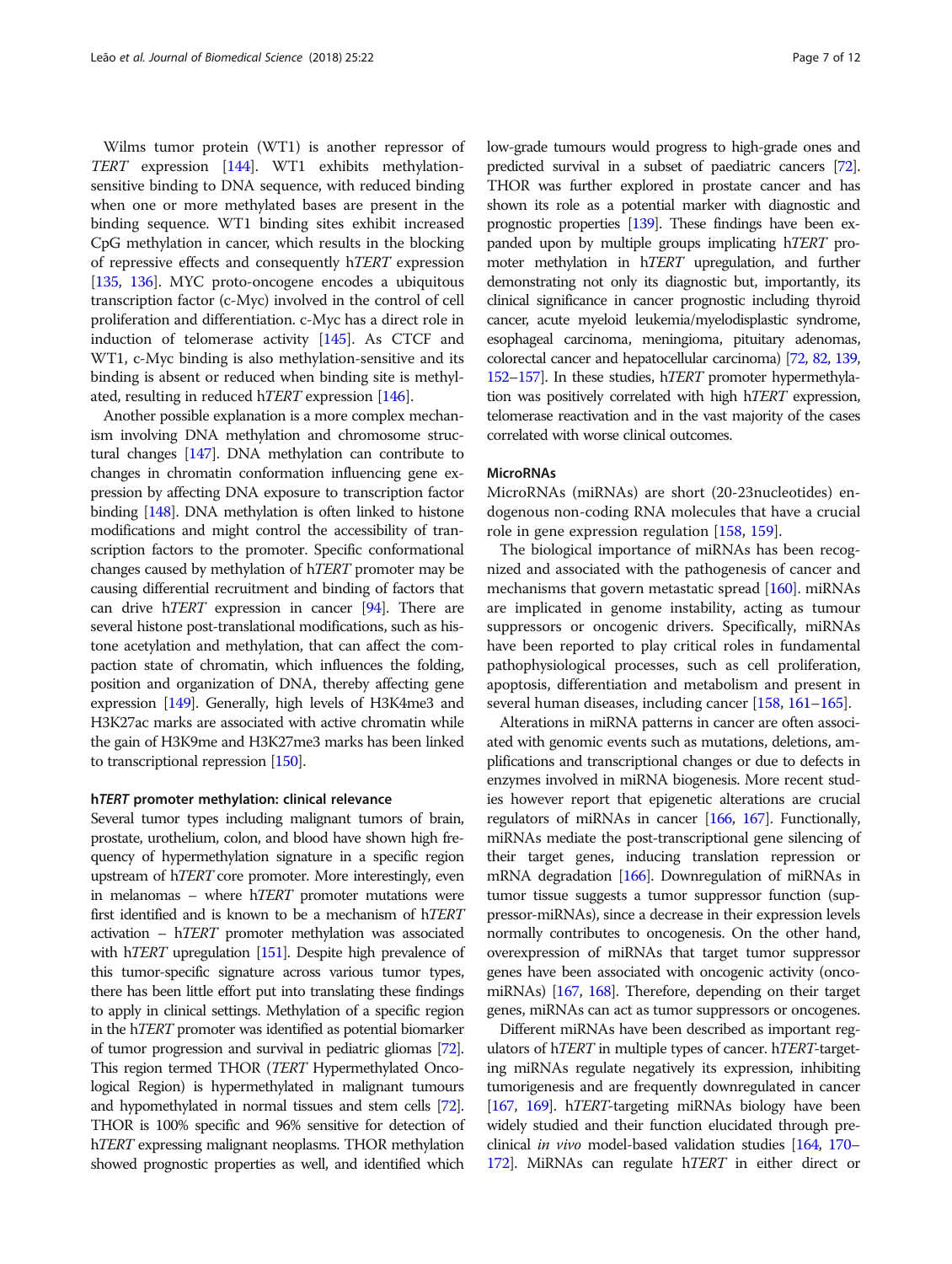Wilms tumor protein (WT1) is another repressor of TERT expression [\[144\]](#page-11-0). WT1 exhibits methylationsensitive binding to DNA sequence, with reduced binding when one or more methylated bases are present in the binding sequence. WT1 binding sites exhibit increased CpG methylation in cancer, which results in the blocking of repressive effects and consequently hTERT expression [[135](#page-11-0), [136\]](#page-11-0). MYC proto-oncogene encodes a ubiquitous transcription factor (c-Myc) involved in the control of cell proliferation and differentiation. c-Myc has a direct role in induction of telomerase activity [\[145\]](#page-11-0). As CTCF and WT1, c-Myc binding is also methylation-sensitive and its binding is absent or reduced when binding site is methylated, resulting in reduced hTERT expression [\[146\]](#page-11-0).

Another possible explanation is a more complex mechanism involving DNA methylation and chromosome structural changes [\[147](#page-11-0)]. DNA methylation can contribute to changes in chromatin conformation influencing gene expression by affecting DNA exposure to transcription factor binding [[148\]](#page-11-0). DNA methylation is often linked to histone modifications and might control the accessibility of transcription factors to the promoter. Specific conformational changes caused by methylation of hTERT promoter may be causing differential recruitment and binding of factors that can drive  $hTERT$  expression in cancer [\[94\]](#page-10-0). There are several histone post-translational modifications, such as histone acetylation and methylation, that can affect the compaction state of chromatin, which influences the folding, position and organization of DNA, thereby affecting gene expression [\[149](#page-11-0)]. Generally, high levels of H3K4me3 and H3K27ac marks are associated with active chromatin while the gain of H3K9me and H3K27me3 marks has been linked to transcriptional repression [\[150](#page-11-0)].

#### <sup>h</sup>TERT promoter methylation: clinical relevance

Several tumor types including malignant tumors of brain, prostate, urothelium, colon, and blood have shown high frequency of hypermethylation signature in a specific region upstream of hTERT core promoter. More interestingly, even in melanomas – where hTERT promoter mutations were first identified and is known to be a mechanism of hTERT activation – hTERT promoter methylation was associated with hTERT upregulation [\[151\]](#page-11-0). Despite high prevalence of this tumor-specific signature across various tumor types, there has been little effort put into translating these findings to apply in clinical settings. Methylation of a specific region in the hTERT promoter was identified as potential biomarker of tumor progression and survival in pediatric gliomas [\[72\]](#page-9-0). This region termed THOR (TERT Hypermethylated Oncological Region) is hypermethylated in malignant tumours and hypomethylated in normal tissues and stem cells [\[72\]](#page-9-0). THOR is 100% specific and 96% sensitive for detection of h*TERT* expressing malignant neoplasms. THOR methylation showed prognostic properties as well, and identified which low-grade tumours would progress to high-grade ones and predicted survival in a subset of paediatric cancers [\[72\]](#page-9-0). THOR was further explored in prostate cancer and has shown its role as a potential marker with diagnostic and prognostic properties [[139](#page-11-0)]. These findings have been expanded upon by multiple groups implicating hTERT promoter methylation in hTERT upregulation, and further demonstrating not only its diagnostic but, importantly, its clinical significance in cancer prognostic including thyroid cancer, acute myeloid leukemia/myelodisplastic syndrome, esophageal carcinoma, meningioma, pituitary adenomas, colorectal cancer and hepatocellular carcinoma) [[72,](#page-9-0) [82,](#page-9-0) [139](#page-11-0), [152](#page-11-0)–[157](#page-11-0)]. In these studies, hTERT promoter hypermethylation was positively correlated with high hTERT expression, telomerase reactivation and in the vast majority of the cases correlated with worse clinical outcomes.

#### **MicroRNAs**

MicroRNAs (miRNAs) are short (20-23nucleotides) endogenous non-coding RNA molecules that have a crucial role in gene expression regulation [[158](#page-11-0), [159](#page-11-0)].

The biological importance of miRNAs has been recognized and associated with the pathogenesis of cancer and mechanisms that govern metastatic spread [[160\]](#page-11-0). miRNAs are implicated in genome instability, acting as tumour suppressors or oncogenic drivers. Specifically, miRNAs have been reported to play critical roles in fundamental pathophysiological processes, such as cell proliferation, apoptosis, differentiation and metabolism and present in several human diseases, including cancer [[158](#page-11-0), [161](#page-11-0)–[165\]](#page-11-0).

Alterations in miRNA patterns in cancer are often associated with genomic events such as mutations, deletions, amplifications and transcriptional changes or due to defects in enzymes involved in miRNA biogenesis. More recent studies however report that epigenetic alterations are crucial regulators of miRNAs in cancer [\[166](#page-11-0), [167\]](#page-11-0). Functionally, miRNAs mediate the post-transcriptional gene silencing of their target genes, inducing translation repression or mRNA degradation [\[166](#page-11-0)]. Downregulation of miRNAs in tumor tissue suggests a tumor suppressor function (suppressor-miRNAs), since a decrease in their expression levels normally contributes to oncogenesis. On the other hand, overexpression of miRNAs that target tumor suppressor genes have been associated with oncogenic activity (oncomiRNAs) [\[167,](#page-11-0) [168](#page-11-0)]. Therefore, depending on their target genes, miRNAs can act as tumor suppressors or oncogenes.

Different miRNAs have been described as important regulators of hTERT in multiple types of cancer. hTERT-targeting miRNAs regulate negatively its expression, inhibiting tumorigenesis and are frequently downregulated in cancer [[167,](#page-11-0) [169](#page-11-0)]. h*TERT*-targeting miRNAs biology have been widely studied and their function elucidated through preclinical in vivo model-based validation studies [\[164](#page-11-0), [170](#page-11-0)– [172\]](#page-11-0). MiRNAs can regulate hTERT in either direct or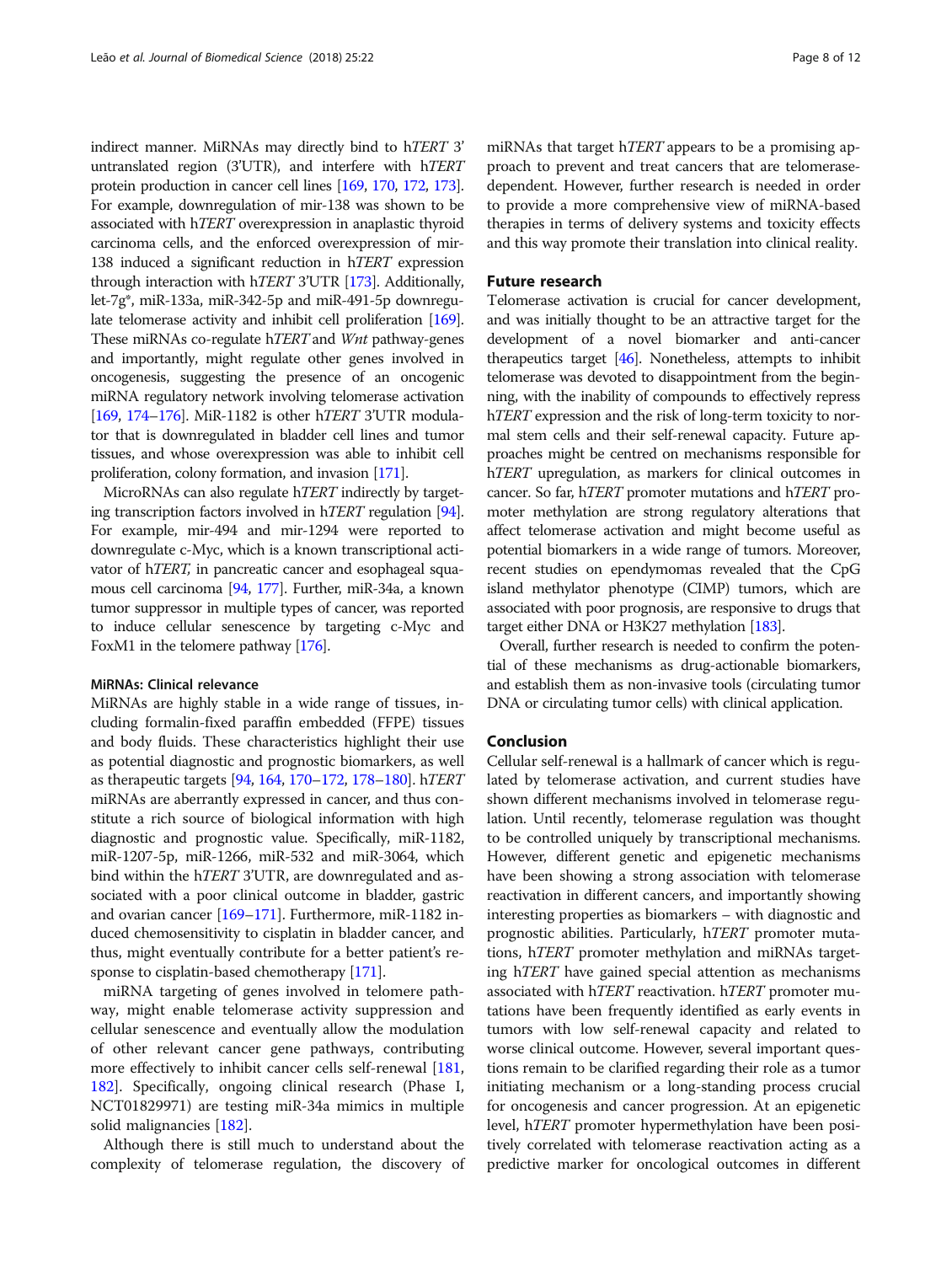indirect manner. MiRNAs may directly bind to hTERT 3' untranslated region (3'UTR), and interfere with hTERT protein production in cancer cell lines [[169,](#page-11-0) [170](#page-11-0), [172](#page-11-0), [173](#page-11-0)]. For example, downregulation of mir-138 was shown to be associated with hTERT overexpression in anaplastic thyroid carcinoma cells, and the enforced overexpression of mir-138 induced a significant reduction in hTERT expression through interaction with hTERT 3'UTR [\[173\]](#page-11-0). Additionally, let-7g\*, miR-133a, miR-342-5p and miR-491-5p downregulate telomerase activity and inhibit cell proliferation [\[169](#page-11-0)]. These miRNAs co-regulate hTERT and Wnt pathway-genes and importantly, might regulate other genes involved in oncogenesis, suggesting the presence of an oncogenic miRNA regulatory network involving telomerase activation [[169,](#page-11-0) [174](#page-11-0)–[176](#page-11-0)]. MiR-1182 is other hTERT 3'UTR modulator that is downregulated in bladder cell lines and tumor tissues, and whose overexpression was able to inhibit cell proliferation, colony formation, and invasion [[171\]](#page-11-0).

MicroRNAs can also regulate hTERT indirectly by targeting transcription factors involved in hTERT regulation [\[94](#page-10-0)]. For example, mir-494 and mir-1294 were reported to downregulate c-Myc, which is a known transcriptional activator of hTERT, in pancreatic cancer and esophageal squamous cell carcinoma [[94](#page-10-0), [177\]](#page-11-0). Further, miR-34a, a known tumor suppressor in multiple types of cancer, was reported to induce cellular senescence by targeting c-Myc and FoxM1 in the telomere pathway [[176\]](#page-11-0).

#### MiRNAs: Clinical relevance

MiRNAs are highly stable in a wide range of tissues, including formalin-fixed paraffin embedded (FFPE) tissues and body fluids. These characteristics highlight their use as potential diagnostic and prognostic biomarkers, as well as therapeutic targets [\[94](#page-10-0), [164](#page-11-0), [170](#page-11-0)–[172](#page-11-0), [178](#page-11-0)–[180\]](#page-11-0). hTERT miRNAs are aberrantly expressed in cancer, and thus constitute a rich source of biological information with high diagnostic and prognostic value. Specifically, miR-1182, miR-1207-5p, miR-1266, miR-532 and miR-3064, which bind within the hTERT 3'UTR, are downregulated and associated with a poor clinical outcome in bladder, gastric and ovarian cancer [[169](#page-11-0)–[171](#page-11-0)]. Furthermore, miR-1182 induced chemosensitivity to cisplatin in bladder cancer, and thus, might eventually contribute for a better patient's response to cisplatin-based chemotherapy [[171](#page-11-0)].

miRNA targeting of genes involved in telomere pathway, might enable telomerase activity suppression and cellular senescence and eventually allow the modulation of other relevant cancer gene pathways, contributing more effectively to inhibit cancer cells self-renewal [[181](#page-11-0), [182](#page-11-0)]. Specifically, ongoing clinical research (Phase I, NCT01829971) are testing miR-34a mimics in multiple solid malignancies [[182](#page-11-0)].

Although there is still much to understand about the complexity of telomerase regulation, the discovery of

miRNAs that target hTERT appears to be a promising approach to prevent and treat cancers that are telomerasedependent. However, further research is needed in order to provide a more comprehensive view of miRNA-based therapies in terms of delivery systems and toxicity effects and this way promote their translation into clinical reality.

#### Future research

Telomerase activation is crucial for cancer development, and was initially thought to be an attractive target for the development of a novel biomarker and anti-cancer therapeutics target  $[46]$ . Nonetheless, attempts to inhibit telomerase was devoted to disappointment from the beginning, with the inability of compounds to effectively repress h*TERT* expression and the risk of long-term toxicity to normal stem cells and their self-renewal capacity. Future approaches might be centred on mechanisms responsible for h*TERT* upregulation, as markers for clinical outcomes in cancer. So far, hTERT promoter mutations and hTERT promoter methylation are strong regulatory alterations that affect telomerase activation and might become useful as potential biomarkers in a wide range of tumors. Moreover, recent studies on ependymomas revealed that the CpG island methylator phenotype (CIMP) tumors, which are associated with poor prognosis, are responsive to drugs that target either DNA or H3K27 methylation [\[183](#page-11-0)].

Overall, further research is needed to confirm the potential of these mechanisms as drug-actionable biomarkers, and establish them as non-invasive tools (circulating tumor DNA or circulating tumor cells) with clinical application.

#### Conclusion

Cellular self-renewal is a hallmark of cancer which is regulated by telomerase activation, and current studies have shown different mechanisms involved in telomerase regulation. Until recently, telomerase regulation was thought to be controlled uniquely by transcriptional mechanisms. However, different genetic and epigenetic mechanisms have been showing a strong association with telomerase reactivation in different cancers, and importantly showing interesting properties as biomarkers – with diagnostic and prognostic abilities. Particularly, hTERT promoter mutations, hTERT promoter methylation and miRNAs targeting hTERT have gained special attention as mechanisms associated with hTERT reactivation. hTERT promoter mutations have been frequently identified as early events in tumors with low self-renewal capacity and related to worse clinical outcome. However, several important questions remain to be clarified regarding their role as a tumor initiating mechanism or a long-standing process crucial for oncogenesis and cancer progression. At an epigenetic level, hTERT promoter hypermethylation have been positively correlated with telomerase reactivation acting as a predictive marker for oncological outcomes in different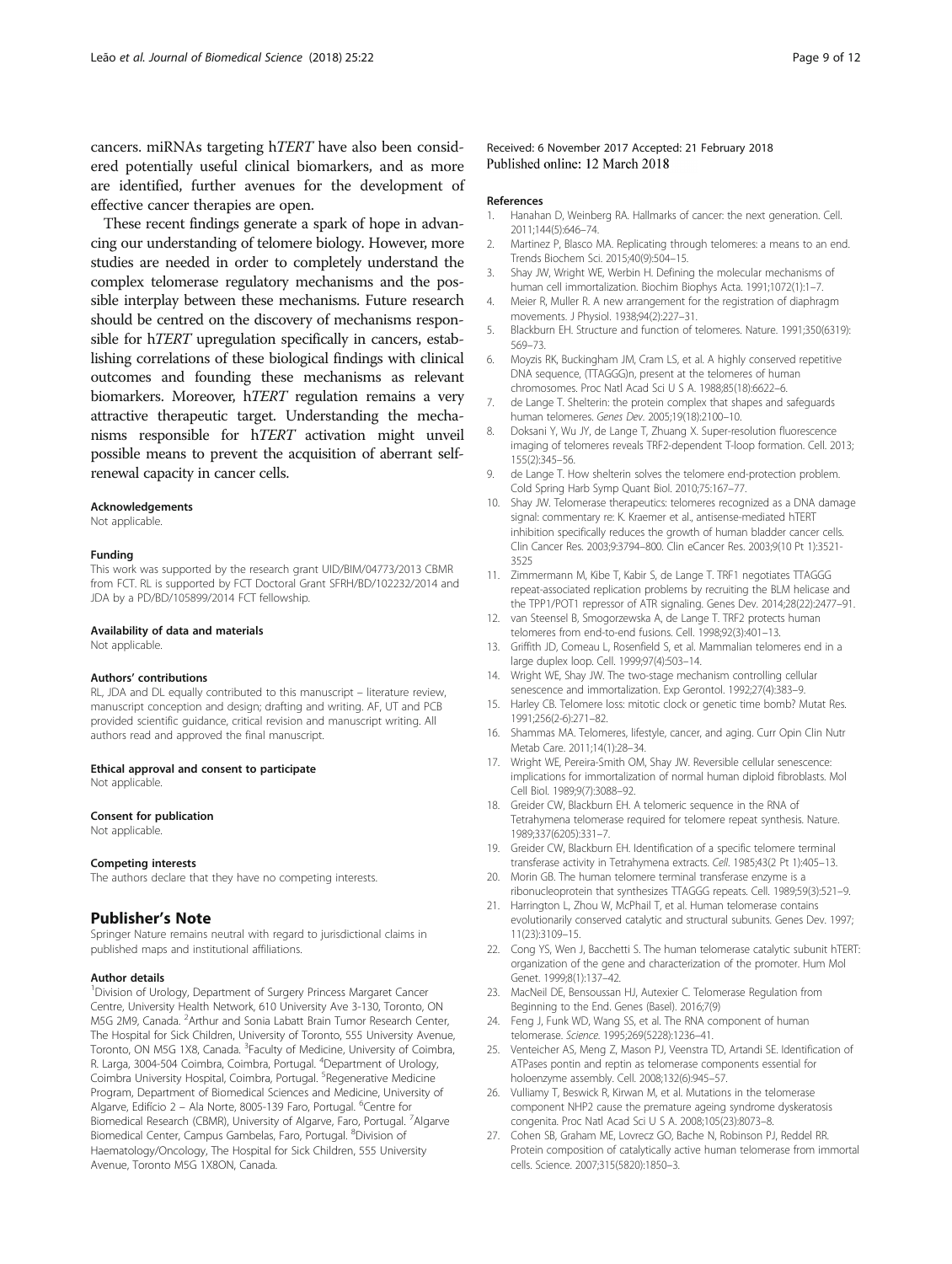<span id="page-8-0"></span>cancers. miRNAs targeting hTERT have also been considered potentially useful clinical biomarkers, and as more are identified, further avenues for the development of effective cancer therapies are open.

These recent findings generate a spark of hope in advancing our understanding of telomere biology. However, more studies are needed in order to completely understand the complex telomerase regulatory mechanisms and the possible interplay between these mechanisms. Future research should be centred on the discovery of mechanisms responsible for hTERT upregulation specifically in cancers, establishing correlations of these biological findings with clinical outcomes and founding these mechanisms as relevant biomarkers. Moreover, hTERT regulation remains a very attractive therapeutic target. Understanding the mechanisms responsible for hTERT activation might unveil possible means to prevent the acquisition of aberrant selfrenewal capacity in cancer cells.

#### Acknowledgements

Not applicable.

#### Funding

This work was supported by the research grant UID/BIM/04773/2013 CBMR from FCT. RL is supported by FCT Doctoral Grant SFRH/BD/102232/2014 and JDA by a PD/BD/105899/2014 FCT fellowship.

#### Availability of data and materials

Not applicable

#### Authors' contributions

RL, JDA and DL equally contributed to this manuscript – literature review, manuscript conception and design; drafting and writing. AF, UT and PCB provided scientific guidance, critical revision and manuscript writing. All authors read and approved the final manuscript.

#### Ethical approval and consent to participate

Not applicable.

#### Consent for publication

Not applicable.

#### Competing interests

The authors declare that they have no competing interests.

#### Publisher's Note

Springer Nature remains neutral with regard to jurisdictional claims in published maps and institutional affiliations.

#### Author details

<sup>1</sup> Division of Urology, Department of Surgery Princess Margaret Cancer Centre, University Health Network, 610 University Ave 3-130, Toronto, ON M5G 2M9, Canada. <sup>2</sup> Arthur and Sonia Labatt Brain Tumor Research Center, The Hospital for Sick Children, University of Toronto, 555 University Avenue, Toronto, ON M5G 1X8, Canada. <sup>3</sup>Faculty of Medicine, University of Coimbra, R. Larga, 3004-504 Coimbra, Coimbra, Portugal. <sup>4</sup>Department of Urology, Coimbra University Hospital, Coimbra, Portugal. <sup>5</sup>Regenerative Medicine Program, Department of Biomedical Sciences and Medicine, University of Algarve, Edifício 2 - Ala Norte, 8005-139 Faro, Portugal. <sup>6</sup>Centre for Biomedical Research (CBMR), University of Algarve, Faro, Portugal. <sup>7</sup>Algarve Biomedical Center, Campus Gambelas, Faro, Portugal. <sup>8</sup>Division of Haematology/Oncology, The Hospital for Sick Children, 555 University Avenue, Toronto M5G 1X8ON, Canada.

#### References

- 1. Hanahan D, Weinberg RA. Hallmarks of cancer: the next generation. Cell. 2011;144(5):646–74.
- 2. Martinez P, Blasco MA. Replicating through telomeres: a means to an end. Trends Biochem Sci. 2015;40(9):504–15.
- 3. Shay JW, Wright WE, Werbin H. Defining the molecular mechanisms of human cell immortalization. Biochim Biophys Acta. 1991;1072(1):1–7.
- 4. Meier R, Muller R. A new arrangement for the registration of diaphragm movements. J Physiol. 1938;94(2):227–31.
- 5. Blackburn EH. Structure and function of telomeres. Nature. 1991;350(6319): 569–73.
- 6. Moyzis RK, Buckingham JM, Cram LS, et al. A highly conserved repetitive DNA sequence, (TTAGGG)n, present at the telomeres of human chromosomes. Proc Natl Acad Sci U S A. 1988;85(18):6622–6.
- 7. de Lange T. Shelterin: the protein complex that shapes and safeguards human telomeres. Genes Dev. 2005;19(18):2100–10.
- 8. Doksani Y, Wu JY, de Lange T, Zhuang X. Super-resolution fluorescence imaging of telomeres reveals TRF2-dependent T-loop formation. Cell. 2013; 155(2):345–56.
- 9. de Lange T. How shelterin solves the telomere end-protection problem. Cold Spring Harb Symp Quant Biol. 2010;75:167–77.
- 10. Shay JW. Telomerase therapeutics: telomeres recognized as a DNA damage signal: commentary re: K. Kraemer et al., antisense-mediated hTERT inhibition specifically reduces the growth of human bladder cancer cells. Clin Cancer Res. 2003;9:3794–800. Clin eCancer Res. 2003;9(10 Pt 1):3521- 3525
- 11. Zimmermann M, Kibe T, Kabir S, de Lange T. TRF1 negotiates TTAGGG repeat-associated replication problems by recruiting the BLM helicase and the TPP1/POT1 repressor of ATR signaling. Genes Dev. 2014;28(22):2477–91.
- 12. van Steensel B, Smogorzewska A, de Lange T. TRF2 protects human telomeres from end-to-end fusions. Cell. 1998;92(3):401–13.
- 13. Griffith JD, Comeau L, Rosenfield S, et al. Mammalian telomeres end in a large duplex loop. Cell. 1999;97(4):503–14.
- 14. Wright WE, Shay JW. The two-stage mechanism controlling cellular senescence and immortalization. Exp Gerontol. 1992;27(4):383–9.
- 15. Harley CB. Telomere loss: mitotic clock or genetic time bomb? Mutat Res. 1991;256(2-6):271–82.
- 16. Shammas MA. Telomeres, lifestyle, cancer, and aging. Curr Opin Clin Nutr Metab Care. 2011;14(1):28–34.
- 17. Wright WE, Pereira-Smith OM, Shay JW. Reversible cellular senescence: implications for immortalization of normal human diploid fibroblasts. Mol Cell Biol. 1989;9(7):3088–92.
- 18. Greider CW, Blackburn EH. A telomeric sequence in the RNA of Tetrahymena telomerase required for telomere repeat synthesis. Nature. 1989;337(6205):331–7.
- 19. Greider CW, Blackburn EH. Identification of a specific telomere terminal transferase activity in Tetrahymena extracts. Cell. 1985;43(2 Pt 1):405–13.
- 20. Morin GB. The human telomere terminal transferase enzyme is a ribonucleoprotein that synthesizes TTAGGG repeats. Cell. 1989;59(3):521–9.
- 21. Harrington L, Zhou W, McPhail T, et al. Human telomerase contains evolutionarily conserved catalytic and structural subunits. Genes Dev. 1997; 11(23):3109–15.
- 22. Cong YS, Wen J, Bacchetti S. The human telomerase catalytic subunit hTERT: organization of the gene and characterization of the promoter. Hum Mol Genet. 1999;8(1):137–42.
- 23. MacNeil DE, Bensoussan HJ, Autexier C. Telomerase Regulation from Beginning to the End. Genes (Basel). 2016;7(9)
- 24. Feng J, Funk WD, Wang SS, et al. The RNA component of human telomerase. Science. 1995;269(5228):1236–41.
- 25. Venteicher AS, Meng Z, Mason PJ, Veenstra TD, Artandi SE. Identification of ATPases pontin and reptin as telomerase components essential for holoenzyme assembly. Cell. 2008;132(6):945–57.
- 26. Vulliamy T, Beswick R, Kirwan M, et al. Mutations in the telomerase component NHP2 cause the premature ageing syndrome dyskeratosis congenita. Proc Natl Acad Sci U S A. 2008;105(23):8073–8.
- 27. Cohen SB, Graham ME, Lovrecz GO, Bache N, Robinson PJ, Reddel RR. Protein composition of catalytically active human telomerase from immortal cells. Science. 2007;315(5820):1850–3.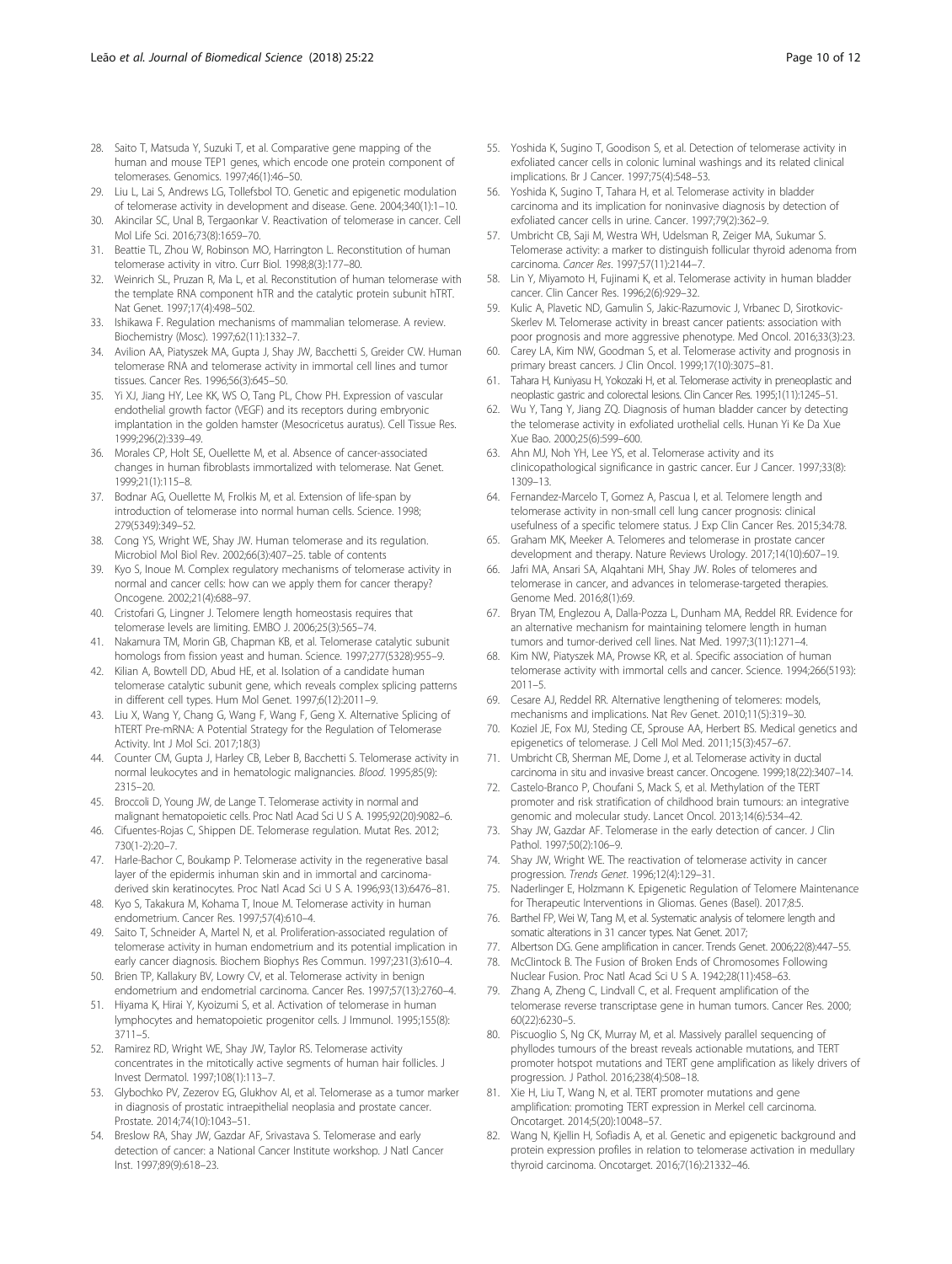- <span id="page-9-0"></span>28. Saito T, Matsuda Y, Suzuki T, et al. Comparative gene mapping of the human and mouse TEP1 genes, which encode one protein component of telomerases. Genomics. 1997;46(1):46–50.
- 29. Liu L, Lai S, Andrews LG, Tollefsbol TO. Genetic and epigenetic modulation of telomerase activity in development and disease. Gene. 2004;340(1):1–10.
- 30. Akincilar SC, Unal B, Tergaonkar V. Reactivation of telomerase in cancer. Cell Mol Life Sci. 2016;73(8):1659–70.
- 31. Beattie TL, Zhou W, Robinson MO, Harrington L. Reconstitution of human telomerase activity in vitro. Curr Biol. 1998;8(3):177–80.
- 32. Weinrich SL, Pruzan R, Ma L, et al. Reconstitution of human telomerase with the template RNA component hTR and the catalytic protein subunit hTRT. Nat Genet. 1997;17(4):498–502.
- 33. Ishikawa F. Regulation mechanisms of mammalian telomerase. A review. Biochemistry (Mosc). 1997;62(11):1332–7.
- 34. Avilion AA, Piatyszek MA, Gupta J, Shay JW, Bacchetti S, Greider CW. Human telomerase RNA and telomerase activity in immortal cell lines and tumor tissues. Cancer Res. 1996;56(3):645–50.
- 35. Yi XJ, Jiang HY, Lee KK, WS O, Tang PL, Chow PH. Expression of vascular endothelial growth factor (VEGF) and its receptors during embryonic implantation in the golden hamster (Mesocricetus auratus). Cell Tissue Res. 1999;296(2):339–49.
- 36. Morales CP, Holt SE, Ouellette M, et al. Absence of cancer-associated changes in human fibroblasts immortalized with telomerase. Nat Genet. 1999;21(1):115–8.
- 37. Bodnar AG, Ouellette M, Frolkis M, et al. Extension of life-span by introduction of telomerase into normal human cells. Science. 1998; 279(5349):349–52.
- 38. Cong YS, Wright WE, Shay JW. Human telomerase and its regulation. Microbiol Mol Biol Rev. 2002;66(3):407–25. table of contents
- 39. Kyo S, Inoue M. Complex regulatory mechanisms of telomerase activity in normal and cancer cells: how can we apply them for cancer therapy? Oncogene. 2002;21(4):688–97.
- 40. Cristofari G, Lingner J. Telomere length homeostasis requires that telomerase levels are limiting. EMBO J. 2006;25(3):565–74.
- 41. Nakamura TM, Morin GB, Chapman KB, et al. Telomerase catalytic subunit homologs from fission yeast and human. Science. 1997;277(5328):955–9.
- 42. Kilian A, Bowtell DD, Abud HE, et al. Isolation of a candidate human telomerase catalytic subunit gene, which reveals complex splicing patterns in different cell types. Hum Mol Genet. 1997;6(12):2011–9.
- 43. Liu X, Wang Y, Chang G, Wang F, Wang F, Geng X. Alternative Splicing of hTERT Pre-mRNA: A Potential Strategy for the Regulation of Telomerase Activity. Int J Mol Sci. 2017;18(3)
- 44. Counter CM, Gupta J, Harley CB, Leber B, Bacchetti S. Telomerase activity in normal leukocytes and in hematologic malignancies. Blood. 1995;85(9): 2315–20.
- 45. Broccoli D, Young JW, de Lange T. Telomerase activity in normal and malignant hematopoietic cells. Proc Natl Acad Sci U S A. 1995;92(20):9082–6.
- 46. Cifuentes-Rojas C, Shippen DE. Telomerase regulation. Mutat Res. 2012; 730(1-2):20–7.
- 47. Harle-Bachor C, Boukamp P. Telomerase activity in the regenerative basal layer of the epidermis inhuman skin and in immortal and carcinomaderived skin keratinocytes. Proc Natl Acad Sci U S A. 1996;93(13):6476–81.
- 48. Kyo S, Takakura M, Kohama T, Inoue M. Telomerase activity in human endometrium. Cancer Res. 1997;57(4):610–4.
- 49. Saito T, Schneider A, Martel N, et al. Proliferation-associated regulation of telomerase activity in human endometrium and its potential implication in early cancer diagnosis. Biochem Biophys Res Commun. 1997;231(3):610–4.
- 50. Brien TP, Kallakury BV, Lowry CV, et al. Telomerase activity in benign endometrium and endometrial carcinoma. Cancer Res. 1997;57(13):2760–4.
- 51. Hiyama K, Hirai Y, Kyoizumi S, et al. Activation of telomerase in human lymphocytes and hematopoietic progenitor cells. J Immunol. 1995;155(8): 3711–5.
- 52. Ramirez RD, Wright WE, Shay JW, Taylor RS. Telomerase activity concentrates in the mitotically active segments of human hair follicles. J Invest Dermatol. 1997;108(1):113–7.
- 53. Glybochko PV, Zezerov EG, Glukhov AI, et al. Telomerase as a tumor marker in diagnosis of prostatic intraepithelial neoplasia and prostate cancer. Prostate. 2014;74(10):1043–51.
- 54. Breslow RA, Shay JW, Gazdar AF, Srivastava S. Telomerase and early detection of cancer: a National Cancer Institute workshop. J Natl Cancer Inst. 1997;89(9):618–23.
- 55. Yoshida K, Sugino T, Goodison S, et al. Detection of telomerase activity in exfoliated cancer cells in colonic luminal washings and its related clinical implications. Br J Cancer. 1997;75(4):548–53.
- 56. Yoshida K, Sugino T, Tahara H, et al. Telomerase activity in bladder carcinoma and its implication for noninvasive diagnosis by detection of exfoliated cancer cells in urine. Cancer. 1997;79(2):362–9.
- 57. Umbricht CB, Saji M, Westra WH, Udelsman R, Zeiger MA, Sukumar S. Telomerase activity: a marker to distinguish follicular thyroid adenoma from carcinoma. Cancer Res. 1997;57(11):2144–7.
- 58. Lin Y, Miyamoto H, Fujinami K, et al. Telomerase activity in human bladder cancer. Clin Cancer Res. 1996;2(6):929–32.
- 59. Kulic A, Plavetic ND, Gamulin S, Jakic-Razumovic J, Vrbanec D, Sirotkovic-Skerlev M. Telomerase activity in breast cancer patients: association with poor prognosis and more aggressive phenotype. Med Oncol. 2016;33(3):23.
- 60. Carey LA, Kim NW, Goodman S, et al. Telomerase activity and prognosis in primary breast cancers. J Clin Oncol. 1999;17(10):3075–81.
- 61. Tahara H, Kuniyasu H, Yokozaki H, et al. Telomerase activity in preneoplastic and neoplastic gastric and colorectal lesions. Clin Cancer Res. 1995;1(11):1245–51.
- 62. Wu Y, Tang Y, Jiang ZQ. Diagnosis of human bladder cancer by detecting the telomerase activity in exfoliated urothelial cells. Hunan Yi Ke Da Xue Xue Bao. 2000;25(6):599–600.
- 63. Ahn MJ, Noh YH, Lee YS, et al. Telomerase activity and its clinicopathological significance in gastric cancer. Eur J Cancer. 1997;33(8): 1309–13.
- 64. Fernandez-Marcelo T, Gomez A, Pascua I, et al. Telomere length and telomerase activity in non-small cell lung cancer prognosis: clinical usefulness of a specific telomere status. J Exp Clin Cancer Res. 2015;34:78.
- 65. Graham MK, Meeker A. Telomeres and telomerase in prostate cancer development and therapy. Nature Reviews Urology. 2017;14(10):607–19.
- 66. Jafri MA, Ansari SA, Alqahtani MH, Shay JW. Roles of telomeres and telomerase in cancer, and advances in telomerase-targeted therapies. Genome Med. 2016;8(1):69.
- 67. Bryan TM, Englezou A, Dalla-Pozza L, Dunham MA, Reddel RR. Evidence for an alternative mechanism for maintaining telomere length in human tumors and tumor-derived cell lines. Nat Med. 1997;3(11):1271–4.
- 68. Kim NW, Piatyszek MA, Prowse KR, et al. Specific association of human telomerase activity with immortal cells and cancer. Science. 1994;266(5193): 2011–5.
- 69. Cesare AJ, Reddel RR. Alternative lengthening of telomeres: models, mechanisms and implications. Nat Rev Genet. 2010;11(5):319–30.
- 70. Koziel JE, Fox MJ, Steding CE, Sprouse AA, Herbert BS. Medical genetics and epigenetics of telomerase. J Cell Mol Med. 2011;15(3):457–67.
- 71. Umbricht CB, Sherman ME, Dome J, et al. Telomerase activity in ductal carcinoma in situ and invasive breast cancer. Oncogene. 1999;18(22):3407–14.
- 72. Castelo-Branco P, Choufani S, Mack S, et al. Methylation of the TERT promoter and risk stratification of childhood brain tumours: an integrative genomic and molecular study. Lancet Oncol. 2013;14(6):534–42.
- 73. Shay JW, Gazdar AF. Telomerase in the early detection of cancer. J Clin Pathol. 1997;50(2):106–9.
- 74. Shay JW, Wright WE. The reactivation of telomerase activity in cancer progression. Trends Genet. 1996;12(4):129–31.
- Naderlinger E, Holzmann K. Epigenetic Regulation of Telomere Maintenance for Therapeutic Interventions in Gliomas. Genes (Basel). 2017;8:5.
- 76. Barthel FP, Wei W, Tang M, et al. Systematic analysis of telomere length and somatic alterations in 31 cancer types. Nat Genet. 2017;
- 77. Albertson DG. Gene amplification in cancer. Trends Genet. 2006;22(8):447–55.
- 78. McClintock B. The Fusion of Broken Ends of Chromosomes Following Nuclear Fusion. Proc Natl Acad Sci U S A. 1942;28(11):458–63.
- 79. Zhang A, Zheng C, Lindvall C, et al. Frequent amplification of the telomerase reverse transcriptase gene in human tumors. Cancer Res. 2000; 60(22):6230–5.
- 80. Piscuoglio S, Ng CK, Murray M, et al. Massively parallel sequencing of phyllodes tumours of the breast reveals actionable mutations, and TERT promoter hotspot mutations and TERT gene amplification as likely drivers of progression. J Pathol. 2016;238(4):508–18.
- 81. Xie H, Liu T, Wang N, et al. TERT promoter mutations and gene amplification: promoting TERT expression in Merkel cell carcinoma. Oncotarget. 2014;5(20):10048–57.
- 82. Wang N, Kjellin H, Sofiadis A, et al. Genetic and epigenetic background and protein expression profiles in relation to telomerase activation in medullary thyroid carcinoma. Oncotarget. 2016;7(16):21332–46.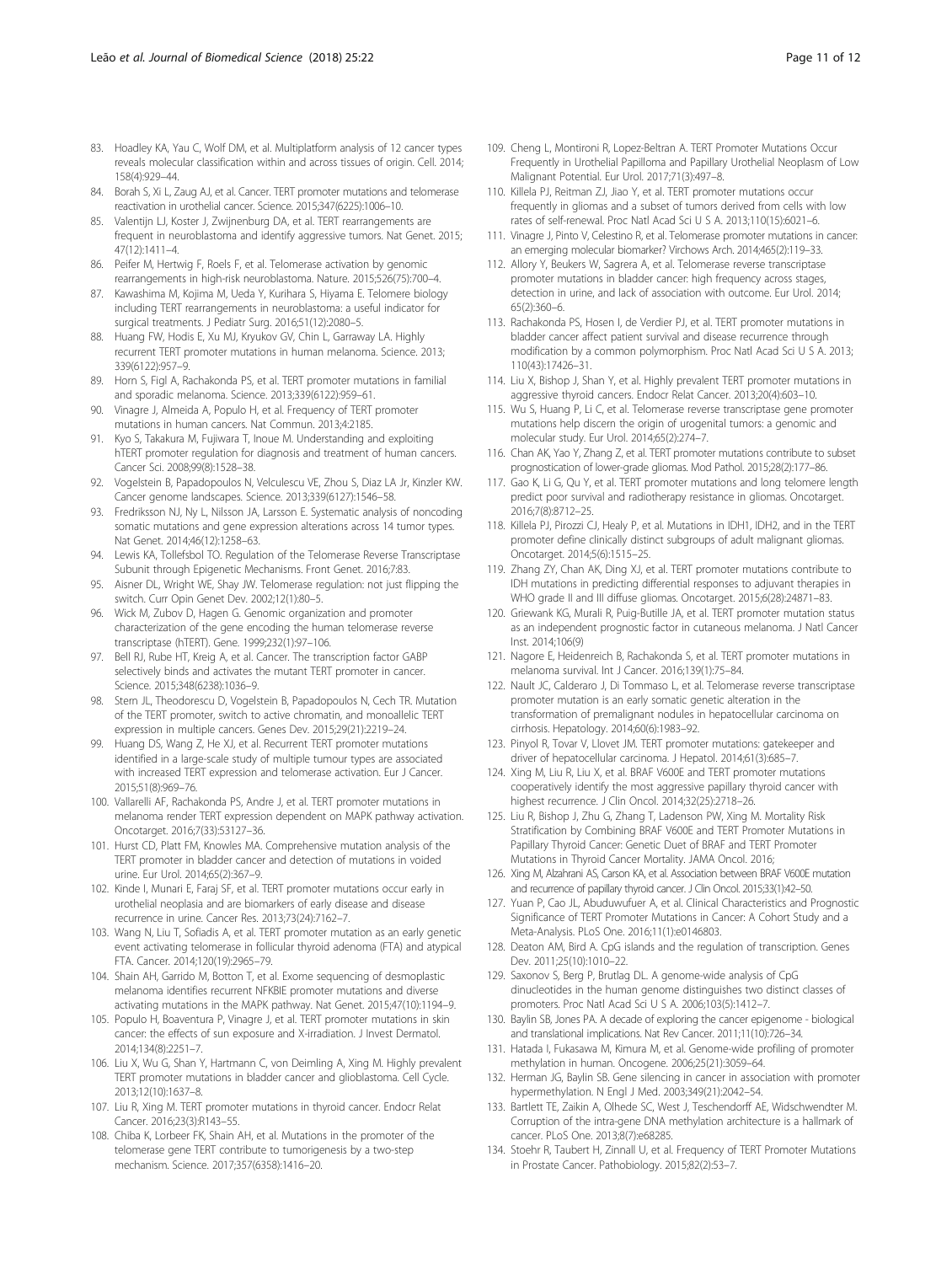- <span id="page-10-0"></span>83. Hoadley KA, Yau C, Wolf DM, et al. Multiplatform analysis of 12 cancer types reveals molecular classification within and across tissues of origin. Cell. 2014; 158(4):929–44.
- 84. Borah S, Xi L, Zaug AJ, et al. Cancer. TERT promoter mutations and telomerase reactivation in urothelial cancer. Science. 2015;347(6225):1006–10.
- 85. Valentijn LJ, Koster J, Zwijnenburg DA, et al. TERT rearrangements are frequent in neuroblastoma and identify aggressive tumors. Nat Genet. 2015; 47(12):1411–4.
- 86. Peifer M, Hertwig F, Roels F, et al. Telomerase activation by genomic rearrangements in high-risk neuroblastoma. Nature. 2015;526(75):700–4.
- 87. Kawashima M, Kojima M, Ueda Y, Kurihara S, Hiyama E. Telomere biology including TERT rearrangements in neuroblastoma: a useful indicator for surgical treatments. J Pediatr Surg. 2016;51(12):2080–5.
- 88. Huang FW, Hodis E, Xu MJ, Kryukov GV, Chin L, Garraway LA. Highly recurrent TERT promoter mutations in human melanoma. Science. 2013; 339(6122):957–9.
- 89. Horn S, Figl A, Rachakonda PS, et al. TERT promoter mutations in familial and sporadic melanoma. Science. 2013;339(6122):959–61.
- 90. Vinagre J, Almeida A, Populo H, et al. Frequency of TERT promoter mutations in human cancers. Nat Commun. 2013;4:2185.
- 91. Kyo S, Takakura M, Fujiwara T, Inoue M. Understanding and exploiting hTERT promoter regulation for diagnosis and treatment of human cancers. Cancer Sci. 2008;99(8):1528–38.
- 92. Vogelstein B, Papadopoulos N, Velculescu VE, Zhou S, Diaz LA Jr, Kinzler KW. Cancer genome landscapes. Science. 2013;339(6127):1546–58.
- 93. Fredriksson NJ, Ny L, Nilsson JA, Larsson E. Systematic analysis of noncoding somatic mutations and gene expression alterations across 14 tumor types. Nat Genet. 2014;46(12):1258–63.
- 94. Lewis KA, Tollefsbol TO. Regulation of the Telomerase Reverse Transcriptase Subunit through Epigenetic Mechanisms. Front Genet. 2016;7:83.
- 95. Aisner DL, Wright WE, Shay JW. Telomerase regulation: not just flipping the switch. Curr Opin Genet Dev. 2002;12(1):80–5.
- 96. Wick M, Zubov D, Hagen G. Genomic organization and promoter characterization of the gene encoding the human telomerase reverse transcriptase (hTERT). Gene. 1999;232(1):97–106.
- 97. Bell RJ, Rube HT, Kreig A, et al. Cancer. The transcription factor GABP selectively binds and activates the mutant TERT promoter in cancer. Science. 2015;348(6238):1036–9.
- 98. Stern JL, Theodorescu D, Vogelstein B, Papadopoulos N, Cech TR. Mutation of the TERT promoter, switch to active chromatin, and monoallelic TERT expression in multiple cancers. Genes Dev. 2015;29(21):2219–24.
- 99. Huang DS, Wang Z, He XJ, et al. Recurrent TERT promoter mutations identified in a large-scale study of multiple tumour types are associated with increased TERT expression and telomerase activation. Eur J Cancer. 2015;51(8):969–76.
- 100. Vallarelli AF, Rachakonda PS, Andre J, et al. TERT promoter mutations in melanoma render TERT expression dependent on MAPK pathway activation. Oncotarget. 2016;7(33):53127–36.
- 101. Hurst CD, Platt FM, Knowles MA. Comprehensive mutation analysis of the TERT promoter in bladder cancer and detection of mutations in voided urine. Eur Urol. 2014;65(2):367–9.
- 102. Kinde I, Munari E, Faraj SF, et al. TERT promoter mutations occur early in urothelial neoplasia and are biomarkers of early disease and disease recurrence in urine. Cancer Res. 2013;73(24):7162–7.
- 103. Wang N, Liu T, Sofiadis A, et al. TERT promoter mutation as an early genetic event activating telomerase in follicular thyroid adenoma (FTA) and atypical FTA. Cancer. 2014;120(19):2965–79.
- 104. Shain AH, Garrido M, Botton T, et al. Exome sequencing of desmoplastic melanoma identifies recurrent NFKBIE promoter mutations and diverse activating mutations in the MAPK pathway. Nat Genet. 2015;47(10):1194–9.
- 105. Populo H, Boaventura P, Vinagre J, et al. TERT promoter mutations in skin cancer: the effects of sun exposure and X-irradiation. J Invest Dermatol. 2014;134(8):2251–7.
- 106. Liu X, Wu G, Shan Y, Hartmann C, von Deimling A, Xing M. Highly prevalent TERT promoter mutations in bladder cancer and glioblastoma. Cell Cycle. 2013;12(10):1637–8.
- 107. Liu R, Xing M. TERT promoter mutations in thyroid cancer. Endocr Relat Cancer. 2016;23(3):R143–55.
- 108. Chiba K, Lorbeer FK, Shain AH, et al. Mutations in the promoter of the telomerase gene TERT contribute to tumorigenesis by a two-step mechanism. Science. 2017;357(6358):1416–20.
- 109. Cheng L, Montironi R, Lopez-Beltran A. TERT Promoter Mutations Occur Frequently in Urothelial Papilloma and Papillary Urothelial Neoplasm of Low Malignant Potential. Eur Urol. 2017;71(3):497–8.
- 110. Killela PJ, Reitman ZJ, Jiao Y, et al. TERT promoter mutations occur frequently in gliomas and a subset of tumors derived from cells with low rates of self-renewal. Proc Natl Acad Sci U S A. 2013;110(15):6021–6.
- 111. Vinagre J, Pinto V, Celestino R, et al. Telomerase promoter mutations in cancer: an emerging molecular biomarker? Virchows Arch. 2014;465(2):119–33.
- 112. Allory Y, Beukers W, Sagrera A, et al. Telomerase reverse transcriptase promoter mutations in bladder cancer: high frequency across stages, detection in urine, and lack of association with outcome. Eur Urol. 2014; 65(2):360–6.
- 113. Rachakonda PS, Hosen I, de Verdier PJ, et al. TERT promoter mutations in bladder cancer affect patient survival and disease recurrence through modification by a common polymorphism. Proc Natl Acad Sci U S A. 2013; 110(43):17426–31.
- 114. Liu X, Bishop J, Shan Y, et al. Highly prevalent TERT promoter mutations in aggressive thyroid cancers. Endocr Relat Cancer. 2013;20(4):603–10.
- 115. Wu S, Huang P, Li C, et al. Telomerase reverse transcriptase gene promoter mutations help discern the origin of urogenital tumors: a genomic and molecular study. Eur Urol. 2014;65(2):274–7.
- 116. Chan AK, Yao Y, Zhang Z, et al. TERT promoter mutations contribute to subset prognostication of lower-grade gliomas. Mod Pathol. 2015;28(2):177–86.
- 117. Gao K, Li G, Qu Y, et al. TERT promoter mutations and long telomere length predict poor survival and radiotherapy resistance in gliomas. Oncotarget. 2016;7(8):8712–25.
- 118. Killela PJ, Pirozzi CJ, Healy P, et al. Mutations in IDH1, IDH2, and in the TERT promoter define clinically distinct subgroups of adult malignant gliomas. Oncotarget. 2014;5(6):1515–25.
- 119. Zhang ZY, Chan AK, Ding XJ, et al. TERT promoter mutations contribute to IDH mutations in predicting differential responses to adjuvant therapies in WHO grade II and III diffuse gliomas. Oncotarget. 2015;6(28):24871–83.
- 120. Griewank KG, Murali R, Puig-Butille JA, et al. TERT promoter mutation status as an independent prognostic factor in cutaneous melanoma. J Natl Cancer Inst. 2014;106(9)
- 121. Nagore E, Heidenreich B, Rachakonda S, et al. TERT promoter mutations in melanoma survival. Int J Cancer. 2016;139(1):75–84.
- 122. Nault JC, Calderaro J, Di Tommaso L, et al. Telomerase reverse transcriptase promoter mutation is an early somatic genetic alteration in the transformation of premalignant nodules in hepatocellular carcinoma on cirrhosis. Hepatology. 2014;60(6):1983–92.
- 123. Pinyol R, Tovar V, Llovet JM. TERT promoter mutations: gatekeeper and driver of hepatocellular carcinoma. J Hepatol. 2014;61(3):685–7.
- 124. Xing M, Liu R, Liu X, et al. BRAF V600E and TERT promoter mutations cooperatively identify the most aggressive papillary thyroid cancer with highest recurrence. J Clin Oncol. 2014;32(25):2718–26.
- 125. Liu R, Bishop J, Zhu G, Zhang T, Ladenson PW, Xing M. Mortality Risk Stratification by Combining BRAF V600E and TERT Promoter Mutations in Papillary Thyroid Cancer: Genetic Duet of BRAF and TERT Promoter Mutations in Thyroid Cancer Mortality. JAMA Oncol. 2016;
- 126. Xing M, Alzahrani AS, Carson KA, et al. Association between BRAF V600E mutation and recurrence of papillary thyroid cancer. J Clin Oncol. 2015;33(1):42–50.
- 127. Yuan P, Cao JL, Abuduwufuer A, et al. Clinical Characteristics and Prognostic Significance of TERT Promoter Mutations in Cancer: A Cohort Study and a Meta-Analysis. PLoS One. 2016;11(1):e0146803.
- 128. Deaton AM, Bird A. CpG islands and the regulation of transcription. Genes Dev. 2011;25(10):1010–22.
- 129. Saxonov S, Berg P, Brutlag DL. A genome-wide analysis of CpG dinucleotides in the human genome distinguishes two distinct classes of promoters. Proc Natl Acad Sci U S A. 2006;103(5):1412–7.
- 130. Baylin SB, Jones PA. A decade of exploring the cancer epigenome biological and translational implications. Nat Rev Cancer. 2011;11(10):726–34.
- 131. Hatada I, Fukasawa M, Kimura M, et al. Genome-wide profiling of promoter methylation in human. Oncogene. 2006;25(21):3059–64.
- 132. Herman JG, Baylin SB. Gene silencing in cancer in association with promoter hypermethylation. N Engl J Med. 2003;349(21):2042–54.
- 133. Bartlett TE, Zaikin A, Olhede SC, West J, Teschendorff AE, Widschwendter M. Corruption of the intra-gene DNA methylation architecture is a hallmark of cancer. PLoS One. 2013;8(7):e68285.
- 134. Stoehr R, Taubert H, Zinnall U, et al. Frequency of TERT Promoter Mutations in Prostate Cancer. Pathobiology. 2015;82(2):53–7.